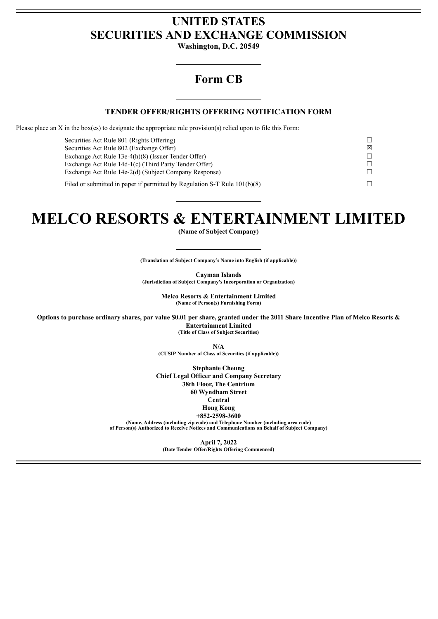## **UNITED STATES SECURITIES AND EXCHANGE COMMISSION**

**Washington, D.C. 20549**

## **Form CB**

#### **TENDER OFFER/RIGHTS OFFERING NOTIFICATION FORM**

Please place an X in the box(es) to designate the appropriate rule provision(s) relied upon to file this Form:

| Securities Act Rule 801 (Rights Offering)                                   |   |
|-----------------------------------------------------------------------------|---|
| Securities Act Rule 802 (Exchange Offer)                                    | ⊠ |
| Exchange Act Rule 13e-4(h)(8) (Issuer Tender Offer)                         |   |
| Exchange Act Rule 14d-1(c) (Third Party Tender Offer)                       |   |
| Exchange Act Rule 14e-2(d) (Subject Company Response)                       |   |
| Filed or submitted in paper if permitted by Regulation S-T Rule $101(b)(8)$ |   |

# **MELCO RESORTS & ENTERTAINMENT LIMITED**

**(Name of Subject Company)**

**(Translation of Subject Company's Name into English (if applicable))**

**Cayman Islands (Jurisdiction of Subject Company's Incorporation or Organization)**

> **Melco Resorts & Entertainment Limited (Name of Person(s) Furnishing Form)**

Options to purchase ordinary shares, par value \$0.01 per share, granted under the 2011 Share Incentive Plan of Melco Resorts & **Entertainment Limited (Title of Class of Subject Securities)**

> **N/A (CUSIP Number of Class of Securities (if applicable))**

**Stephanie Cheung Chief Legal Officer and Company Secretary 38th Floor, The Centrium 60 Wyndham Street Central Hong Kong +852-2598-3600**

**(Name, Address (including zip code) and Telephone Number (including area code) of Person(s) Authorized to Receive Notices and Communications on Behalf of Subject Company)**

> **April 7, 2022 (Date Tender Offer/Rights Offering Commenced)**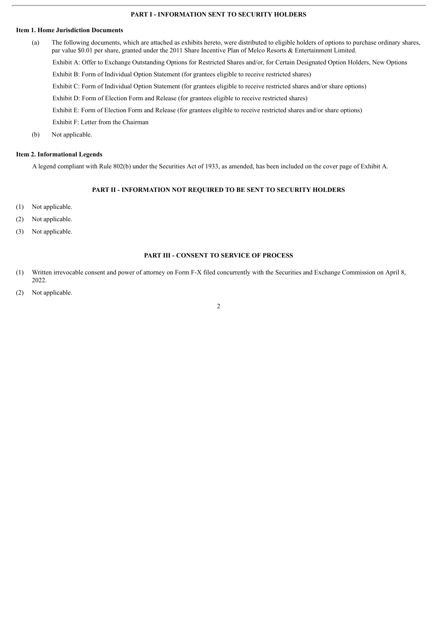#### **PART I - INFORMATION SENT TO SECURITY HOLDERS**

#### **Item 1. Home Jurisdiction Documents**

- (a) The following documents, which are attached as exhibits hereto, were distributed to eligible holders of options to purchase ordinary shares, par value \$0.01 per share, granted under the 2011 Share Incentive Plan of Melco Resorts & Entertainment Limited. Exhibit A: Offer to Exchange Outstanding Options for Restricted Shares and/or, for Certain Designated Option Holders, New Options Exhibit B: Form of Individual Option Statement (for grantees eligible to receive restricted shares) Exhibit C: Form of Individual Option Statement (for grantees eligible to receive restricted shares and/or share options) Exhibit D: Form of Election Form and Release (for grantees eligible to receive restricted shares) Exhibit E: Form of Election Form and Release (for grantees eligible to receive restricted shares and/or share options) Exhibit F: Letter from the Chairman
- (b) Not applicable.

#### **Item 2. Informational Legends**

A legend compliant with Rule 802(b) under the Securities Act of 1933, as amended, has been included on the cover page of Exhibit A.

#### **PART II - INFORMATION NOT REQUIRED TO BE SENT TO SECURITY HOLDERS**

- (1) Not applicable.
- (2) Not applicable.
- (3) Not applicable.

#### **PART III - CONSENT TO SERVICE OF PROCESS**

- (1) Written irrevocable consent and power of attorney on Form F-X filed concurrently with the Securities and Exchange Commission on April 8, 2022.
- (2) Not applicable.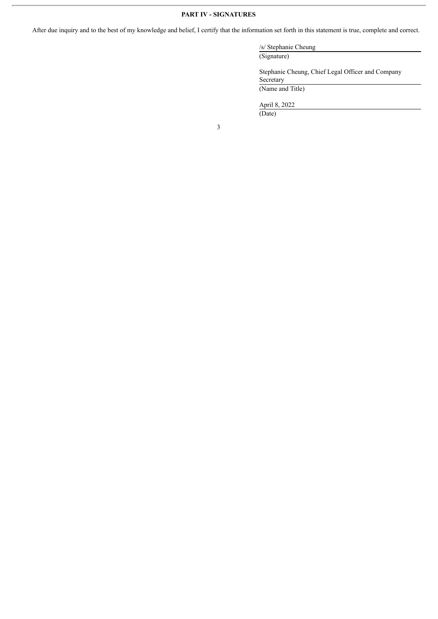#### **PART IV - SIGNATURES**

After due inquiry and to the best of my knowledge and belief, I certify that the information set forth in this statement is true, complete and correct.

/s/ Stephanie Cheung

Stephanie Cheung, Chief Legal Officer and Company Secretary (Name and Title)

April 8, 2022 (Date)

(Signature)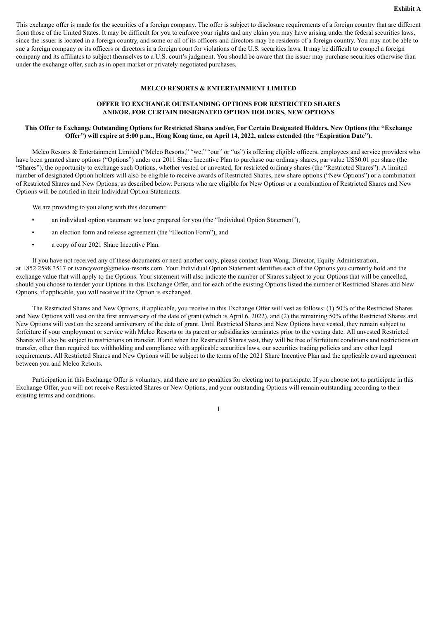This exchange offer is made for the securities of a foreign company. The offer is subject to disclosure requirements of a foreign country that are different from those of the United States. It may be difficult for you to enforce your rights and any claim you may have arising under the federal securities laws, since the issuer is located in a foreign country, and some or all of its officers and directors may be residents of a foreign country. You may not be able to sue a foreign company or its officers or directors in a foreign court for violations of the U.S. securities laws. It may be difficult to compel a foreign company and its affiliates to subject themselves to a U.S. court's judgment. You should be aware that the issuer may purchase securities otherwise than under the exchange offer, such as in open market or privately negotiated purchases.

#### **MELCO RESORTS & ENTERTAINMENT LIMITED**

#### **OFFER TO EXCHANGE OUTSTANDING OPTIONS FOR RESTRICTED SHARES AND/OR, FOR CERTAIN DESIGNATED OPTION HOLDERS, NEW OPTIONS**

#### This Offer to Exchange Outstanding Options for Restricted Shares and/or, For Certain Designated Holders, New Options (the "Exchange Offer") will expire at 5:00 p.m., Hong Kong time, on April 14, 2022, unless extended (the "Expiration Date").

Melco Resorts & Entertainment Limited ("Melco Resorts," "we," "our" or "us") is offering eligible officers, employees and service providers who have been granted share options ("Options") under our 2011 Share Incentive Plan to purchase our ordinary shares, par value US\$0.01 per share (the "Shares"), the opportunity to exchange such Options, whether vested or unvested, for restricted ordinary shares (the "Restricted Shares"). A limited number of designated Option holders will also be eligible to receive awards of Restricted Shares, new share options ("New Options") or a combination of Restricted Shares and New Options, as described below. Persons who are eligible for New Options or a combination of Restricted Shares and New Options will be notified in their Individual Option Statements.

We are providing to you along with this document:

- an individual option statement we have prepared for you (the "Individual Option Statement"),
- an election form and release agreement (the "Election Form"), and
- a copy of our 2021 Share Incentive Plan.

If you have not received any of these documents or need another copy, please contact Ivan Wong, Director, Equity Administration, at +852 2598 3517 or ivancywong@melco-resorts.com. Your Individual Option Statement identifies each of the Options you currently hold and the exchange value that will apply to the Options. Your statement will also indicate the number of Shares subject to your Options that will be cancelled, should you choose to tender your Options in this Exchange Offer, and for each of the existing Options listed the number of Restricted Shares and New Options, if applicable, you will receive if the Option is exchanged.

The Restricted Shares and New Options, if applicable, you receive in this Exchange Offer will vest as follows: (1) 50% of the Restricted Shares and New Options will vest on the first anniversary of the date of grant (which is April 6, 2022), and (2) the remaining 50% of the Restricted Shares and New Options will vest on the second anniversary of the date of grant. Until Restricted Shares and New Options have vested, they remain subject to forfeiture if your employment or service with Melco Resorts or its parent or subsidiaries terminates prior to the vesting date. All unvested Restricted Shares will also be subject to restrictions on transfer. If and when the Restricted Shares vest, they will be free of forfeiture conditions and restrictions on transfer, other than required tax withholding and compliance with applicable securities laws, our securities trading policies and any other legal requirements. All Restricted Shares and New Options will be subject to the terms of the 2021 Share Incentive Plan and the applicable award agreement between you and Melco Resorts.

Participation in this Exchange Offer is voluntary, and there are no penalties for electing not to participate. If you choose not to participate in this Exchange Offer, you will not receive Restricted Shares or New Options, and your outstanding Options will remain outstanding according to their existing terms and conditions.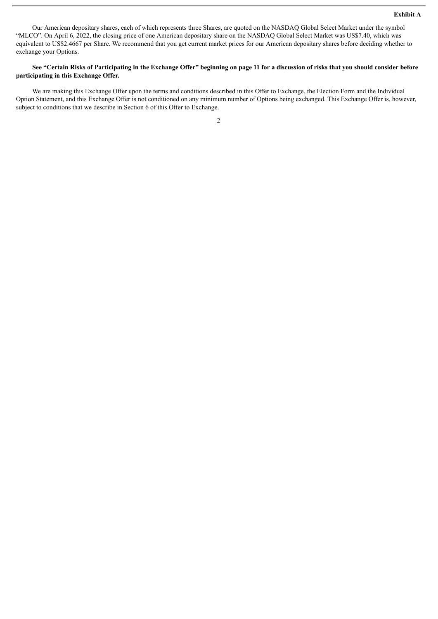Our American depositary shares, each of which represents three Shares, are quoted on the NASDAQ Global Select Market under the symbol "MLCO". On April 6, 2022, the closing price of one American depositary share on the NASDAQ Global Select Market was US\$7.40, which was equivalent to US\$2.4667 per Share. We recommend that you get current market prices for our American depositary shares before deciding whether to exchange your Options.

#### See "Certain Risks of Participating in the Exchange Offer" beginning on page 11 for a discussion of risks that you should consider before **participating in this Exchange Offer.**

We are making this Exchange Offer upon the terms and conditions described in this Offer to Exchange, the Election Form and the Individual Option Statement, and this Exchange Offer is not conditioned on any minimum number of Options being exchanged. This Exchange Offer is, however, subject to conditions that we describe in Section 6 of this Offer to Exchange.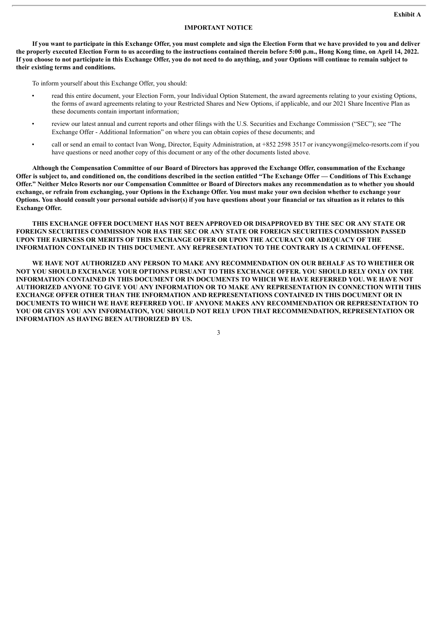#### **IMPORTANT NOTICE**

If you want to participate in this Exchange Offer, you must complete and sign the Election Form that we have provided to you and deliver the properly executed Election Form to us according to the instructions contained therein before 5:00 p.m., Hong Kong time, on April 14, 2022. If you choose to not participate in this Exchange Offer, you do not need to do anything, and your Options will continue to remain subject to **their existing terms and conditions.**

To inform yourself about this Exchange Offer, you should:

- read this entire document, your Election Form, your Individual Option Statement, the award agreements relating to your existing Options, the forms of award agreements relating to your Restricted Shares and New Options, if applicable, and our 2021 Share Incentive Plan as these documents contain important information;
- review our latest annual and current reports and other filings with the U.S. Securities and Exchange Commission ("SEC"); see "The Exchange Offer - Additional Information" on where you can obtain copies of these documents; and
- call or send an email to contact Ivan Wong, Director, Equity Administration, at +852 2598 3517 or ivancywong@melco-resorts.com if you have questions or need another copy of this document or any of the other documents listed above.

Although the Compensation Committee of our Board of Directors has approved the Exchange Offer, consummation of the Exchange Offer is subject to, and conditioned on, the conditions described in the section entitled "The Exchange Offer — Conditions of This Exchange Offer." Neither Melco Resorts nor our Compensation Committee or Board of Directors makes any recommendation as to whether you should exchange, or refrain from exchanging, your Options in the Exchange Offer. You must make your own decision whether to exchange your Options. You should consult your personal outside advisor(s) if you have questions about your financial or tax situation as it relates to this **Exchange Offer.**

**THIS EXCHANGE OFFER DOCUMENT HAS NOT BEEN APPROVED OR DISAPPROVED BY THE SEC OR ANY STATE OR FOREIGN SECURITIES COMMISSION NOR HAS THE SEC OR ANY STATE OR FOREIGN SECURITIES COMMISSION PASSED UPON THE FAIRNESS OR MERITS OF THIS EXCHANGE OFFER OR UPON THE ACCURACY OR ADEQUACY OF THE INFORMATION CONTAINED IN THIS DOCUMENT. ANY REPRESENTATION TO THE CONTRARY IS A CRIMINAL OFFENSE.**

**WE HAVE NOT AUTHORIZED ANY PERSON TO MAKE ANY RECOMMENDATION ON OUR BEHALF AS TO WHETHER OR NOT YOU SHOULD EXCHANGE YOUR OPTIONS PURSUANT TO THIS EXCHANGE OFFER. YOU SHOULD RELY ONLY ON THE INFORMATION CONTAINED IN THIS DOCUMENT OR IN DOCUMENTS TO WHICH WE HAVE REFERRED YOU. WE HAVE NOT AUTHORIZED ANYONE TO GIVE YOU ANY INFORMATION OR TO MAKE ANY REPRESENTATION IN CONNECTION WITH THIS EXCHANGE OFFER OTHER THAN THE INFORMATION AND REPRESENTATIONS CONTAINED IN THIS DOCUMENT OR IN DOCUMENTS TO WHICH WE HAVE REFERRED YOU. IF ANYONE MAKES ANY RECOMMENDATION OR REPRESENTATION TO YOU OR GIVES YOU ANY INFORMATION, YOU SHOULD NOT RELY UPON THAT RECOMMENDATION, REPRESENTATION OR INFORMATION AS HAVING BEEN AUTHORIZED BY US.**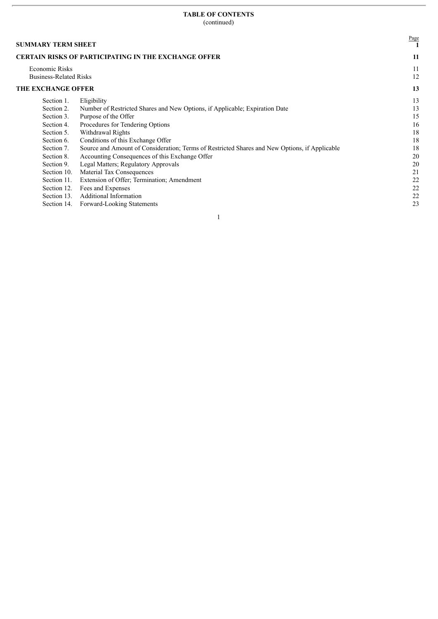#### **TABLE OF CONTENTS** (continued)

| <b>SUMMARY TERM SHEET</b>     |                                                                                               | Page |
|-------------------------------|-----------------------------------------------------------------------------------------------|------|
|                               | <b>CERTAIN RISKS OF PARTICIPATING IN THE EXCHANGE OFFER</b>                                   | -11  |
| Economic Risks                |                                                                                               | 11   |
| <b>Business-Related Risks</b> |                                                                                               | 12   |
| THE EXCHANGE OFFER            |                                                                                               | 13   |
| Section 1.                    | Eligibility                                                                                   | 13   |
| Section 2.                    | Number of Restricted Shares and New Options, if Applicable; Expiration Date                   | 13   |
| Section 3.                    | Purpose of the Offer                                                                          | 15   |
| Section 4.                    | Procedures for Tendering Options                                                              | 16   |
| Section 5.                    | Withdrawal Rights                                                                             | 18   |
| Section 6.                    | Conditions of this Exchange Offer                                                             | 18   |
| Section 7.                    | Source and Amount of Consideration; Terms of Restricted Shares and New Options, if Applicable | 18   |
| Section 8.                    | Accounting Consequences of this Exchange Offer                                                | 20   |
| Section 9.                    | Legal Matters; Regulatory Approvals                                                           | 20   |
| Section 10.                   | Material Tax Consequences                                                                     | 21   |
| Section 11.                   | Extension of Offer; Termination; Amendment                                                    | 22   |
| Section 12.                   | Fees and Expenses                                                                             | 22   |
| Section 13.                   | <b>Additional Information</b>                                                                 | 22   |
| Section 14.                   | Forward-Looking Statements                                                                    | 23   |
|                               |                                                                                               |      |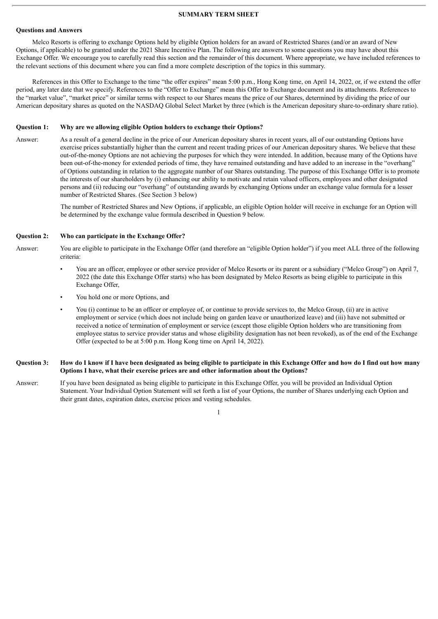#### **SUMMARY TERM SHEET**

#### **Questions and Answers**

Melco Resorts is offering to exchange Options held by eligible Option holders for an award of Restricted Shares (and/or an award of New Options, if applicable) to be granted under the 2021 Share Incentive Plan. The following are answers to some questions you may have about this Exchange Offer. We encourage you to carefully read this section and the remainder of this document. Where appropriate, we have included references to the relevant sections of this document where you can find a more complete description of the topics in this summary.

References in this Offer to Exchange to the time "the offer expires" mean 5:00 p.m., Hong Kong time, on April 14, 2022, or, if we extend the offer period, any later date that we specify. References to the "Offer to Exchange" mean this Offer to Exchange document and its attachments. References to the "market value", "market price" or similar terms with respect to our Shares means the price of our Shares, determined by dividing the price of our American depositary shares as quoted on the NASDAQ Global Select Market by three (which is the American depositary share-to-ordinary share ratio).

#### **Question 1: Why are we allowing eligible Option holders to exchange their Options?**

Answer: As a result of a general decline in the price of our American depositary shares in recent years, all of our outstanding Options have exercise prices substantially higher than the current and recent trading prices of our American depositary shares. We believe that these out-of-the-money Options are not achieving the purposes for which they were intended. In addition, because many of the Options have been out-of-the-money for extended periods of time, they have remained outstanding and have added to an increase in the "overhang" of Options outstanding in relation to the aggregate number of our Shares outstanding. The purpose of this Exchange Offer is to promote the interests of our shareholders by (i) enhancing our ability to motivate and retain valued officers, employees and other designated persons and (ii) reducing our "overhang" of outstanding awards by exchanging Options under an exchange value formula for a lesser number of Restricted Shares. (See Section 3 below)

> The number of Restricted Shares and New Options, if applicable, an eligible Option holder will receive in exchange for an Option will be determined by the exchange value formula described in Question 9 below.

#### **Question 2: Who can participate in the Exchange Offer?**

Answer: You are eligible to participate in the Exchange Offer (and therefore an "eligible Option holder") if you meet ALL three of the following criteria:

- You are an officer, employee or other service provider of Melco Resorts or its parent or a subsidiary ("Melco Group") on April 7, 2022 (the date this Exchange Offer starts) who has been designated by Melco Resorts as being eligible to participate in this Exchange Offer,
- You hold one or more Options, and
- You (i) continue to be an officer or employee of, or continue to provide services to, the Melco Group, (ii) are in active employment or service (which does not include being on garden leave or unauthorized leave) and (iii) have not submitted or received a notice of termination of employment or service (except those eligible Option holders who are transitioning from employee status to service provider status and whose eligibility designation has not been revoked), as of the end of the Exchange Offer (expected to be at 5:00 p.m. Hong Kong time on April 14, 2022).

#### Question 3: How do I know if I have been designated as being eligible to participate in this Exchange Offer and how do I find out how many **Options I have, what their exercise prices are and other information about the Options?**

Answer: If you have been designated as being eligible to participate in this Exchange Offer, you will be provided an Individual Option Statement. Your Individual Option Statement will set forth a list of your Options, the number of Shares underlying each Option and their grant dates, expiration dates, exercise prices and vesting schedules.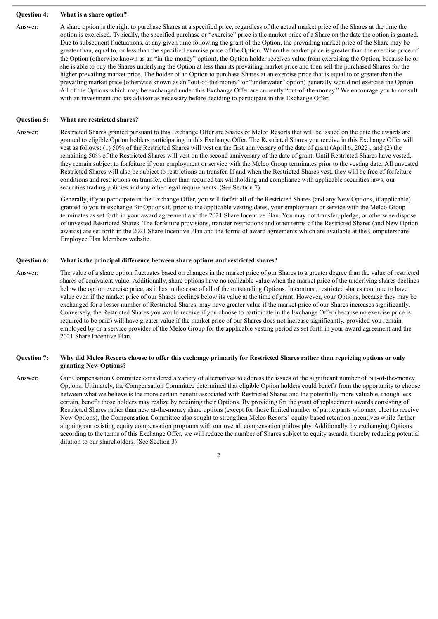#### **Question 4: What is a share option?**

Answer: A share option is the right to purchase Shares at a specified price, regardless of the actual market price of the Shares at the time the option is exercised. Typically, the specified purchase or "exercise" price is the market price of a Share on the date the option is granted. Due to subsequent fluctuations, at any given time following the grant of the Option, the prevailing market price of the Share may be greater than, equal to, or less than the specified exercise price of the Option. When the market price is greater than the exercise price of the Option (otherwise known as an "in-the-money" option), the Option holder receives value from exercising the Option, because he or she is able to buy the Shares underlying the Option at less than its prevailing market price and then sell the purchased Shares for the higher prevailing market price. The holder of an Option to purchase Shares at an exercise price that is equal to or greater than the prevailing market price (otherwise known as an "out-of-the-money" or "underwater" option) generally would not exercise the Option. All of the Options which may be exchanged under this Exchange Offer are currently "out-of-the-money." We encourage you to consult with an investment and tax advisor as necessary before deciding to participate in this Exchange Offer.

#### **Question 5: What are restricted shares?**

Answer: Restricted Shares granted pursuant to this Exchange Offer are Shares of Melco Resorts that will be issued on the date the awards are granted to eligible Option holders participating in this Exchange Offer. The Restricted Shares you receive in this Exchange Offer will vest as follows: (1) 50% of the Restricted Shares will vest on the first anniversary of the date of grant (April 6, 2022), and (2) the remaining 50% of the Restricted Shares will vest on the second anniversary of the date of grant. Until Restricted Shares have vested, they remain subject to forfeiture if your employment or service with the Melco Group terminates prior to the vesting date. All unvested Restricted Shares will also be subject to restrictions on transfer. If and when the Restricted Shares vest, they will be free of forfeiture conditions and restrictions on transfer, other than required tax withholding and compliance with applicable securities laws, our securities trading policies and any other legal requirements. (See Section 7)

> Generally, if you participate in the Exchange Offer, you will forfeit all of the Restricted Shares (and any New Options, if applicable) granted to you in exchange for Options if, prior to the applicable vesting dates, your employment or service with the Melco Group terminates as set forth in your award agreement and the 2021 Share Incentive Plan. You may not transfer, pledge, or otherwise dispose of unvested Restricted Shares. The forfeiture provisions, transfer restrictions and other terms of the Restricted Shares (and New Option awards) are set forth in the 2021 Share Incentive Plan and the forms of award agreements which are available at the Computershare Employee Plan Members website.

#### **Question 6: What is the principal difference between share options and restricted shares?**

Answer: The value of a share option fluctuates based on changes in the market price of our Shares to a greater degree than the value of restricted shares of equivalent value. Additionally, share options have no realizable value when the market price of the underlying shares declines below the option exercise price, as it has in the case of all of the outstanding Options. In contrast, restricted shares continue to have value even if the market price of our Shares declines below its value at the time of grant. However, your Options, because they may be exchanged for a lesser number of Restricted Shares, may have greater value if the market price of our Shares increases significantly. Conversely, the Restricted Shares you would receive if you choose to participate in the Exchange Offer (because no exercise price is required to be paid) will have greater value if the market price of our Shares does not increase significantly, provided you remain employed by or a service provider of the Melco Group for the applicable vesting period as set forth in your award agreement and the 2021 Share Incentive Plan.

#### Question 7: Why did Melco Resorts choose to offer this exchange primarily for Restricted Shares rather than repricing options or only **granting New Options?**

Answer: Our Compensation Committee considered a variety of alternatives to address the issues of the significant number of out-of-the-money Options. Ultimately, the Compensation Committee determined that eligible Option holders could benefit from the opportunity to choose between what we believe is the more certain benefit associated with Restricted Shares and the potentially more valuable, though less certain, benefit those holders may realize by retaining their Options. By providing for the grant of replacement awards consisting of Restricted Shares rather than new at-the-money share options (except for those limited number of participants who may elect to receive New Options), the Compensation Committee also sought to strengthen Melco Resorts' equity-based retention incentives while further aligning our existing equity compensation programs with our overall compensation philosophy. Additionally, by exchanging Options according to the terms of this Exchange Offer, we will reduce the number of Shares subject to equity awards, thereby reducing potential dilution to our shareholders. (See Section 3)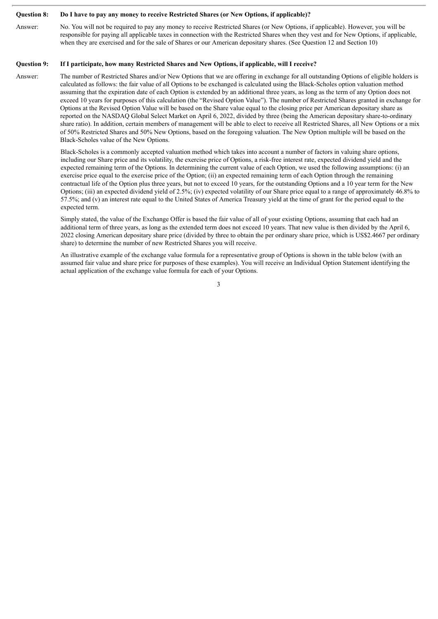#### Ouestion 8: Do I have to pay any money to receive Restricted Shares (or New Options, if applicable)?

Answer: No. You will not be required to pay any money to receive Restricted Shares (or New Options, if applicable). However, you will be responsible for paying all applicable taxes in connection with the Restricted Shares when they vest and for New Options, if applicable, when they are exercised and for the sale of Shares or our American depositary shares. (See Question 12 and Section 10)

#### **Question 9: If I participate, how many Restricted Shares and New Options, if applicable, will I receive?**

Answer: The number of Restricted Shares and/or New Options that we are offering in exchange for all outstanding Options of eligible holders is calculated as follows: the fair value of all Options to be exchanged is calculated using the Black-Scholes option valuation method assuming that the expiration date of each Option is extended by an additional three years, as long as the term of any Option does not exceed 10 years for purposes of this calculation (the "Revised Option Value"). The number of Restricted Shares granted in exchange for Options at the Revised Option Value will be based on the Share value equal to the closing price per American depositary share as reported on the NASDAQ Global Select Market on April 6, 2022, divided by three (being the American depositary share-to-ordinary share ratio). In addition, certain members of management will be able to elect to receive all Restricted Shares, all New Options or a mix of 50% Restricted Shares and 50% New Options, based on the foregoing valuation. The New Option multiple will be based on the Black-Scholes value of the New Options.

> Black-Scholes is a commonly accepted valuation method which takes into account a number of factors in valuing share options, including our Share price and its volatility, the exercise price of Options, a risk-free interest rate, expected dividend yield and the expected remaining term of the Options. In determining the current value of each Option, we used the following assumptions: (i) an exercise price equal to the exercise price of the Option; (ii) an expected remaining term of each Option through the remaining contractual life of the Option plus three years, but not to exceed 10 years, for the outstanding Options and a 10 year term for the New Options; (iii) an expected dividend yield of 2.5%; (iv) expected volatility of our Share price equal to a range of approximately 46.8% to 57.5%; and (v) an interest rate equal to the United States of America Treasury yield at the time of grant for the period equal to the expected term.

> Simply stated, the value of the Exchange Offer is based the fair value of all of your existing Options, assuming that each had an additional term of three years, as long as the extended term does not exceed 10 years. That new value is then divided by the April 6, 2022 closing American depositary share price (divided by three to obtain the per ordinary share price, which is US\$2.4667 per ordinary share) to determine the number of new Restricted Shares you will receive.

An illustrative example of the exchange value formula for a representative group of Options is shown in the table below (with an assumed fair value and share price for purposes of these examples). You will receive an Individual Option Statement identifying the actual application of the exchange value formula for each of your Options.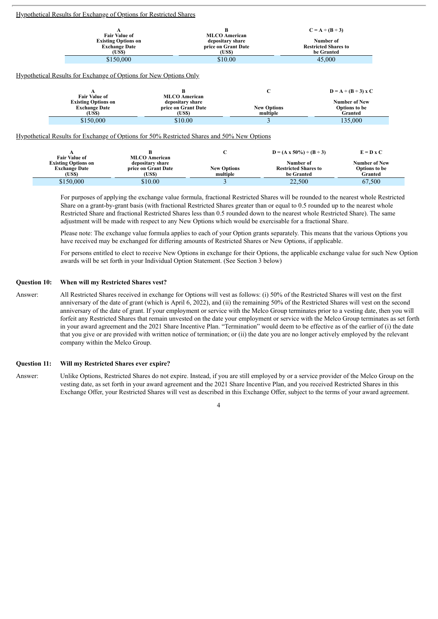|                                                                      | Hypothetical Results for Exchange of Options for Restricted Shares                                                                                            |                                                                                |                                                         |                                                                                   |
|----------------------------------------------------------------------|---------------------------------------------------------------------------------------------------------------------------------------------------------------|--------------------------------------------------------------------------------|---------------------------------------------------------|-----------------------------------------------------------------------------------|
|                                                                      | A<br><b>Fair Value of</b><br><b>Existing Options on</b><br><b>Exchange Date</b><br>(US\$)                                                                     | B<br><b>MLCO</b> American<br>depositary share<br>price on Grant Date<br>(US\$) |                                                         | $C = A \div (B \div 3)$<br>Number of<br><b>Restricted Shares to</b><br>be Granted |
| А<br><b>Fair Value of</b>                                            | \$150,000<br><u>Hypothetical Results for Exchange of Options for New Options Only</u><br>В<br><b>MLCO</b> American                                            | \$10.00                                                                        | $\mathbf C$                                             | 45,000<br>$D = A \div (B \div 3)$ x C                                             |
| <b>Existing Options on</b><br><b>Exchange Date</b><br>(US\$)         | depositary share<br>price on Grant Date<br>(US\$)                                                                                                             |                                                                                | <b>New Options</b><br>multiple                          | <b>Number of New</b><br><b>Options</b> to be<br>Granted                           |
| \$150,000<br>A<br><b>Fair Value of</b><br><b>Existing Options on</b> | \$10.00<br><u>Hypothetical Results for Exchange of Options for 50% Restricted Shares and 50% New Options</u><br>в<br><b>MLCO</b> American<br>depositary share | C                                                                              | 3<br>$D = (A \times 50\%) \div (B \div 3)$<br>Number of | 135,000<br>$E = D \times C$<br><b>Number of New</b>                               |
| <b>Exchange Date</b><br>(US\$)                                       | price on Grant Date<br>(US\$)                                                                                                                                 | <b>New Options</b><br>multiple                                                 | <b>Restricted Shares to</b><br>be Granted               | <b>Options</b> to be<br>Granted                                                   |

For purposes of applying the exchange value formula, fractional Restricted Shares will be rounded to the nearest whole Restricted Share on a grant-by-grant basis (with fractional Restricted Shares greater than or equal to 0.5 rounded up to the nearest whole Restricted Share and fractional Restricted Shares less than 0.5 rounded down to the nearest whole Restricted Share). The same adjustment will be made with respect to any New Options which would be exercisable for a fractional Share.

 $$10.00$   $$10.00$   $$3$   $22,500$   $67,500$ 

Please note: The exchange value formula applies to each of your Option grants separately. This means that the various Options you have received may be exchanged for differing amounts of Restricted Shares or New Options, if applicable.

For persons entitled to elect to receive New Options in exchange for their Options, the applicable exchange value for such New Option awards will be set forth in your Individual Option Statement. (See Section 3 below)

#### **Question 10: When will my Restricted Shares vest?**

Answer: All Restricted Shares received in exchange for Options will vest as follows: (i) 50% of the Restricted Shares will vest on the first anniversary of the date of grant (which is April 6, 2022), and (ii) the remaining 50% of the Restricted Shares will vest on the second anniversary of the date of grant. If your employment or service with the Melco Group terminates prior to a vesting date, then you will forfeit any Restricted Shares that remain unvested on the date your employment or service with the Melco Group terminates as set forth in your award agreement and the 2021 Share Incentive Plan. "Termination" would deem to be effective as of the earlier of (i) the date that you give or are provided with written notice of termination; or (ii) the date you are no longer actively employed by the relevant company within the Melco Group.

#### **Question 11: Will my Restricted Shares ever expire?**

Answer: Unlike Options, Restricted Shares do not expire. Instead, if you are still employed by or a service provider of the Melco Group on the vesting date, as set forth in your award agreement and the 2021 Share Incentive Plan, and you received Restricted Shares in this Exchange Offer, your Restricted Shares will vest as described in this Exchange Offer, subject to the terms of your award agreement.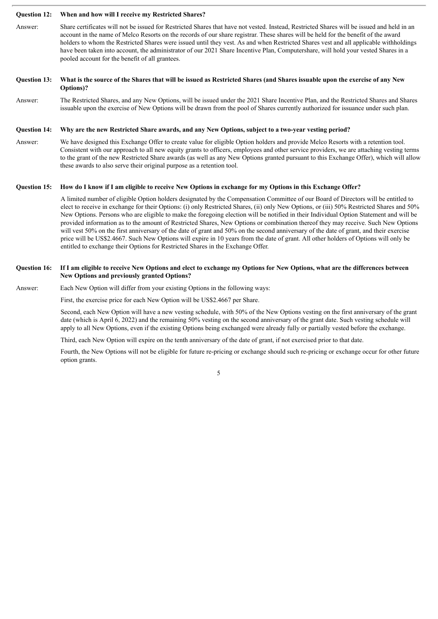#### **Question 12: When and how will I receive my Restricted Shares?**

Answer: Share certificates will not be issued for Restricted Shares that have not vested. Instead, Restricted Shares will be issued and held in an account in the name of Melco Resorts on the records of our share registrar. These shares will be held for the benefit of the award holders to whom the Restricted Shares were issued until they vest. As and when Restricted Shares vest and all applicable withholdings have been taken into account, the administrator of our 2021 Share Incentive Plan, Computershare, will hold your vested Shares in a pooled account for the benefit of all grantees.

#### Question 13: What is the source of the Shares that will be issued as Restricted Shares (and Shares issuable upon the exercise of any New **Options)?**

Answer: The Restricted Shares, and any New Options, will be issued under the 2021 Share Incentive Plan, and the Restricted Shares and Shares issuable upon the exercise of New Options will be drawn from the pool of Shares currently authorized for issuance under such plan.

#### Question 14: Why are the new Restricted Share awards, and any New Options, subject to a two-year vesting period?

Answer: We have designed this Exchange Offer to create value for eligible Option holders and provide Melco Resorts with a retention tool. Consistent with our approach to all new equity grants to officers, employees and other service providers, we are attaching vesting terms to the grant of the new Restricted Share awards (as well as any New Options granted pursuant to this Exchange Offer), which will allow these awards to also serve their original purpose as a retention tool.

#### Question 15: How do I know if I am eligible to receive New Options in exchange for my Options in this Exchange Offer?

A limited number of eligible Option holders designated by the Compensation Committee of our Board of Directors will be entitled to elect to receive in exchange for their Options: (i) only Restricted Shares, (ii) only New Options, or (iii) 50% Restricted Shares and 50% New Options. Persons who are eligible to make the foregoing election will be notified in their Individual Option Statement and will be provided information as to the amount of Restricted Shares, New Options or combination thereof they may receive. Such New Options will vest 50% on the first anniversary of the date of grant and 50% on the second anniversary of the date of grant, and their exercise price will be US\$2.4667. Such New Options will expire in 10 years from the date of grant. All other holders of Options will only be entitled to exchange their Options for Restricted Shares in the Exchange Offer.

#### Question 16: If I am eligible to receive New Options and elect to exchange my Options for New Options, what are the differences between **New Options and previously granted Options?**

#### Answer: Each New Option will differ from your existing Options in the following ways:

First, the exercise price for each New Option will be US\$2.4667 per Share.

Second, each New Option will have a new vesting schedule, with 50% of the New Options vesting on the first anniversary of the grant date (which is April 6, 2022) and the remaining 50% vesting on the second anniversary of the grant date. Such vesting schedule will apply to all New Options, even if the existing Options being exchanged were already fully or partially vested before the exchange.

Third, each New Option will expire on the tenth anniversary of the date of grant, if not exercised prior to that date.

Fourth, the New Options will not be eligible for future re-pricing or exchange should such re-pricing or exchange occur for other future option grants.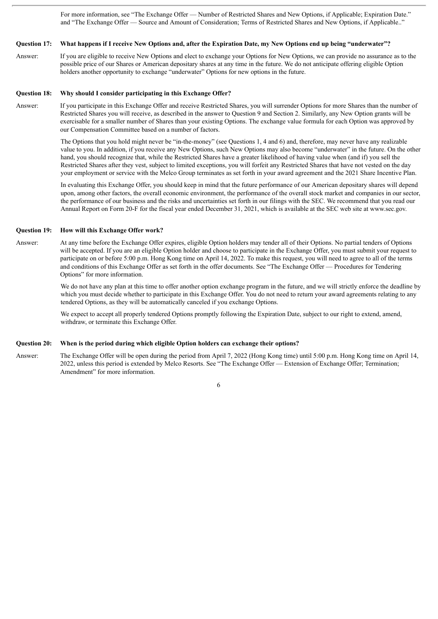For more information, see "The Exchange Offer — Number of Restricted Shares and New Options, if Applicable; Expiration Date." and "The Exchange Offer — Source and Amount of Consideration; Terms of Restricted Shares and New Options, if Applicable.."

#### Question 17: What happens if I receive New Options and, after the Expiration Date, my New Options end up being "underwater"?

Answer: If you are eligible to receive New Options and elect to exchange your Options for New Options, we can provide no assurance as to the possible price of our Shares or American depositary shares at any time in the future. We do not anticipate offering eligible Option holders another opportunity to exchange "underwater" Options for new options in the future.

#### **Question 18: Why should I consider participating in this Exchange Offer?**

Answer: If you participate in this Exchange Offer and receive Restricted Shares, you will surrender Options for more Shares than the number of Restricted Shares you will receive, as described in the answer to Question 9 and Section 2. Similarly, any New Option grants will be exercisable for a smaller number of Shares than your existing Options. The exchange value formula for each Option was approved by our Compensation Committee based on a number of factors.

> The Options that you hold might never be "in-the-money" (see Questions 1, 4 and 6) and, therefore, may never have any realizable value to you. In addition, if you receive any New Options, such New Options may also become "underwater" in the future. On the other hand, you should recognize that, while the Restricted Shares have a greater likelihood of having value when (and if) you sell the Restricted Shares after they vest, subject to limited exceptions, you will forfeit any Restricted Shares that have not vested on the day your employment or service with the Melco Group terminates as set forth in your award agreement and the 2021 Share Incentive Plan.

> In evaluating this Exchange Offer, you should keep in mind that the future performance of our American depositary shares will depend upon, among other factors, the overall economic environment, the performance of the overall stock market and companies in our sector, the performance of our business and the risks and uncertainties set forth in our filings with the SEC. We recommend that you read our Annual Report on Form 20-F for the fiscal year ended December 31, 2021, which is available at the SEC web site at www.sec.gov.

#### **Question 19: How will this Exchange Offer work?**

Answer: At any time before the Exchange Offer expires, eligible Option holders may tender all of their Options. No partial tenders of Options will be accepted. If you are an eligible Option holder and choose to participate in the Exchange Offer, you must submit your request to participate on or before 5:00 p.m. Hong Kong time on April 14, 2022. To make this request, you will need to agree to all of the terms and conditions of this Exchange Offer as set forth in the offer documents. See "The Exchange Offer — Procedures for Tendering Options" for more information.

> We do not have any plan at this time to offer another option exchange program in the future, and we will strictly enforce the deadline by which you must decide whether to participate in this Exchange Offer. You do not need to return your award agreements relating to any tendered Options, as they will be automatically canceled if you exchange Options.

We expect to accept all properly tendered Options promptly following the Expiration Date, subject to our right to extend, amend, withdraw, or terminate this Exchange Offer.

#### **Question 20: When is the period during which eligible Option holders can exchange their options?**

Answer: The Exchange Offer will be open during the period from April 7, 2022 (Hong Kong time) until 5:00 p.m. Hong Kong time on April 14, 2022, unless this period is extended by Melco Resorts. See "The Exchange Offer — Extension of Exchange Offer; Termination; Amendment" for more information.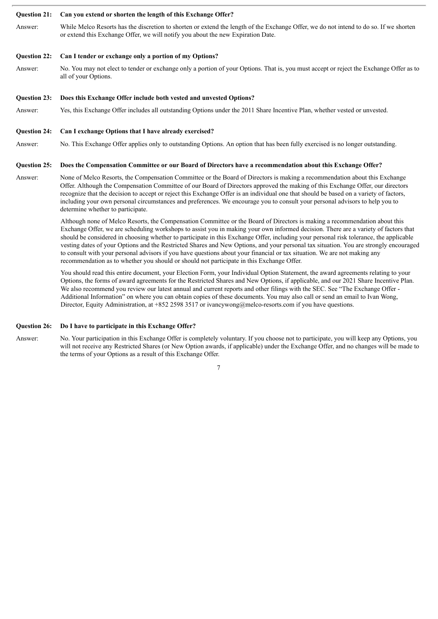#### **Question 21: Can you extend or shorten the length of this Exchange Offer?**

Answer: While Melco Resorts has the discretion to shorten or extend the length of the Exchange Offer, we do not intend to do so. If we shorten or extend this Exchange Offer, we will notify you about the new Expiration Date.

#### **Question 22: Can I tender or exchange only a portion of my Options?**

Answer: No. You may not elect to tender or exchange only a portion of your Options. That is, you must accept or reject the Exchange Offer as to all of your Options.

#### **Question 23: Does this Exchange Offer include both vested and unvested Options?**

Answer: Yes, this Exchange Offer includes all outstanding Options under the 2011 Share Incentive Plan, whether vested or unvested.

#### **Question 24: Can I exchange Options that I have already exercised?**

Answer: No. This Exchange Offer applies only to outstanding Options. An option that has been fully exercised is no longer outstanding.

#### Question 25: Does the Compensation Committee or our Board of Directors have a recommendation about this Exchange Offer?

Answer: None of Melco Resorts, the Compensation Committee or the Board of Directors is making a recommendation about this Exchange Offer. Although the Compensation Committee of our Board of Directors approved the making of this Exchange Offer, our directors recognize that the decision to accept or reject this Exchange Offer is an individual one that should be based on a variety of factors, including your own personal circumstances and preferences. We encourage you to consult your personal advisors to help you to determine whether to participate.

> Although none of Melco Resorts, the Compensation Committee or the Board of Directors is making a recommendation about this Exchange Offer, we are scheduling workshops to assist you in making your own informed decision. There are a variety of factors that should be considered in choosing whether to participate in this Exchange Offer, including your personal risk tolerance, the applicable vesting dates of your Options and the Restricted Shares and New Options, and your personal tax situation. You are strongly encouraged to consult with your personal advisors if you have questions about your financial or tax situation. We are not making any recommendation as to whether you should or should not participate in this Exchange Offer.

You should read this entire document, your Election Form, your Individual Option Statement, the award agreements relating to your Options, the forms of award agreements for the Restricted Shares and New Options, if applicable, and our 2021 Share Incentive Plan. We also recommend you review our latest annual and current reports and other filings with the SEC. See "The Exchange Offer -Additional Information" on where you can obtain copies of these documents. You may also call or send an email to Ivan Wong, Director, Equity Administration, at +852 2598 3517 or ivancywong@melco-resorts.com if you have questions.

#### **Question 26: Do I have to participate in this Exchange Offer?**

Answer: No. Your participation in this Exchange Offer is completely voluntary. If you choose not to participate, you will keep any Options, you will not receive any Restricted Shares (or New Option awards, if applicable) under the Exchange Offer, and no changes will be made to the terms of your Options as a result of this Exchange Offer.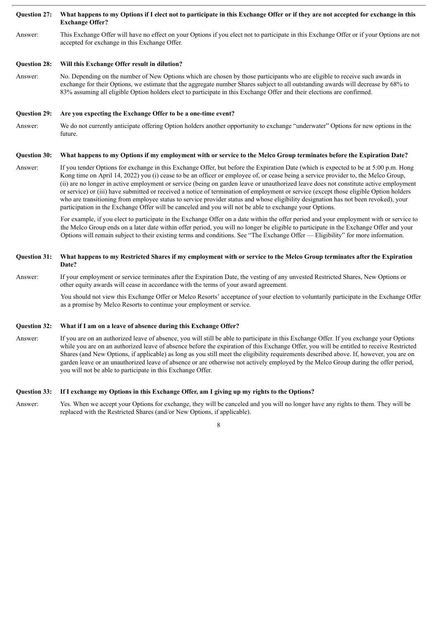#### Ouestion 27: What happens to my Options if I elect not to participate in this Exchange Offer or if they are not accepted for exchange in this **Exchange Offer?**

Answer: This Exchange Offer will have no effect on your Options if you elect not to participate in this Exchange Offer or if your Options are not accepted for exchange in this Exchange Offer.

#### **Question 28: Will this Exchange Offer result in dilution?**

Answer: No. Depending on the number of New Options which are chosen by those participants who are eligible to receive such awards in exchange for their Options, we estimate that the aggregate number Shares subject to all outstanding awards will decrease by 68% to 83% assuming all eligible Option holders elect to participate in this Exchange Offer and their elections are confirmed.

#### **Question 29: Are you expecting the Exchange Offer to be a one-time event?**

Answer: We do not currently anticipate offering Option holders another opportunity to exchange "underwater" Options for new options in the future.

#### Question 30: What happens to my Options if my employment with or service to the Melco Group terminates before the Expiration Date?

Answer: If you tender Options for exchange in this Exchange Offer, but before the Expiration Date (which is expected to be at 5:00 p.m. Hong Kong time on April 14, 2022) you (i) cease to be an officer or employee of, or cease being a service provider to, the Melco Group, (ii) are no longer in active employment or service (being on garden leave or unauthorized leave does not constitute active employment or service) or (iii) have submitted or received a notice of termination of employment or service (except those eligible Option holders who are transitioning from employee status to service provider status and whose eligibility designation has not been revoked), your participation in the Exchange Offer will be canceled and you will not be able to exchange your Options.

> For example, if you elect to participate in the Exchange Offer on a date within the offer period and your employment with or service to the Melco Group ends on a later date within offer period, you will no longer be eligible to participate in the Exchange Offer and your Options will remain subject to their existing terms and conditions. See "The Exchange Offer — Eligibility" for more information.

#### Ouestion 31: What happens to my Restricted Shares if my employment with or service to the Melco Group terminates after the Expiration **Date?**

Answer: If your employment or service terminates after the Expiration Date, the vesting of any unvested Restricted Shares, New Options or other equity awards will cease in accordance with the terms of your award agreement.

> You should not view this Exchange Offer or Melco Resorts' acceptance of your election to voluntarily participate in the Exchange Offer as a promise by Melco Resorts to continue your employment or service.

#### **Question 32: What if I am on a leave of absence during this Exchange Offer?**

Answer: If you are on an authorized leave of absence, you will still be able to participate in this Exchange Offer. If you exchange your Options while you are on an authorized leave of absence before the expiration of this Exchange Offer, you will be entitled to receive Restricted Shares (and New Options, if applicable) as long as you still meet the eligibility requirements described above. If, however, you are on garden leave or an unauthorized leave of absence or are otherwise not actively employed by the Melco Group during the offer period, you will not be able to participate in this Exchange Offer.

#### Question 33: If I exchange my Options in this Exchange Offer, am I giving up my rights to the Options?

Answer: Yes. When we accept your Options for exchange, they will be canceled and you will no longer have any rights to them. They will be replaced with the Restricted Shares (and/or New Options, if applicable).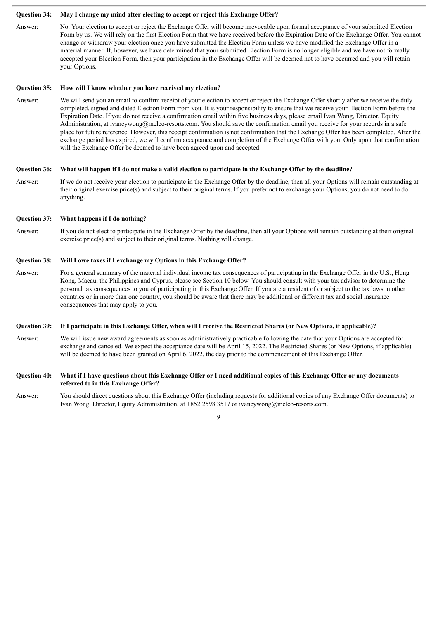#### **Question 34: May I change my mind after electing to accept or reject this Exchange Offer?**

Answer: No. Your election to accept or reject the Exchange Offer will become irrevocable upon formal acceptance of your submitted Election Form by us. We will rely on the first Election Form that we have received before the Expiration Date of the Exchange Offer. You cannot change or withdraw your election once you have submitted the Election Form unless we have modified the Exchange Offer in a material manner. If, however, we have determined that your submitted Election Form is no longer eligible and we have not formally accepted your Election Form, then your participation in the Exchange Offer will be deemed not to have occurred and you will retain your Options.

#### **Question 35: How will I know whether you have received my election?**

Answer: We will send you an email to confirm receipt of your election to accept or reject the Exchange Offer shortly after we receive the duly completed, signed and dated Election Form from you. It is your responsibility to ensure that we receive your Election Form before the Expiration Date. If you do not receive a confirmation email within five business days, please email Ivan Wong, Director, Equity Administration, at ivancywong@melco-resorts.com. You should save the confirmation email you receive for your records in a safe place for future reference. However, this receipt confirmation is not confirmation that the Exchange Offer has been completed. After the exchange period has expired, we will confirm acceptance and completion of the Exchange Offer with you. Only upon that confirmation will the Exchange Offer be deemed to have been agreed upon and accepted.

#### Question 36: What will happen if I do not make a valid election to participate in the Exchange Offer by the deadline?

Answer: If we do not receive your election to participate in the Exchange Offer by the deadline, then all your Options will remain outstanding at their original exercise price(s) and subject to their original terms. If you prefer not to exchange your Options, you do not need to do anything.

#### **Question 37: What happens if I do nothing?**

Answer: If you do not elect to participate in the Exchange Offer by the deadline, then all your Options will remain outstanding at their original exercise price(s) and subject to their original terms. Nothing will change.

#### **Question 38: Will I owe taxes if I exchange my Options in this Exchange Offer?**

Answer: For a general summary of the material individual income tax consequences of participating in the Exchange Offer in the U.S., Hong Kong, Macau, the Philippines and Cyprus, please see Section 10 below. You should consult with your tax advisor to determine the personal tax consequences to you of participating in this Exchange Offer. If you are a resident of or subject to the tax laws in other countries or in more than one country, you should be aware that there may be additional or different tax and social insurance consequences that may apply to you.

#### Question 39: If I participate in this Exchange Offer, when will I receive the Restricted Shares (or New Options, if applicable)?

Answer: We will issue new award agreements as soon as administratively practicable following the date that your Options are accepted for exchange and canceled. We expect the acceptance date will be April 15, 2022. The Restricted Shares (or New Options, if applicable) will be deemed to have been granted on April 6, 2022, the day prior to the commencement of this Exchange Offer.

#### Question 40: What if I have questions about this Exchange Offer or I need additional copies of this Exchange Offer or any documents **referred to in this Exchange Offer?**

Answer: You should direct questions about this Exchange Offer (including requests for additional copies of any Exchange Offer documents) to Ivan Wong, Director, Equity Administration, at +852 2598 3517 or ivancywong@melco-resorts.com.

 $\overline{Q}$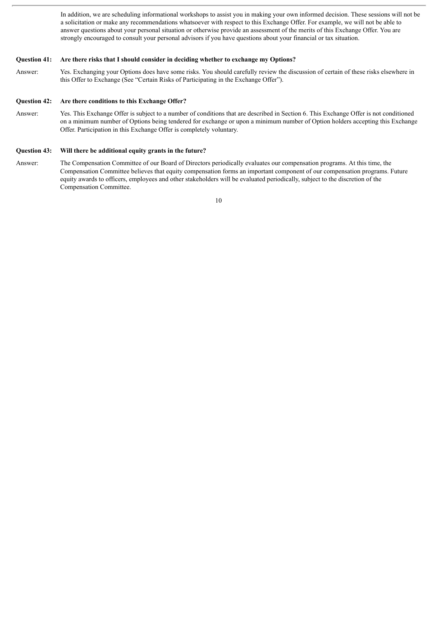In addition, we are scheduling informational workshops to assist you in making your own informed decision. These sessions will not be a solicitation or make any recommendations whatsoever with respect to this Exchange Offer. For example, we will not be able to answer questions about your personal situation or otherwise provide an assessment of the merits of this Exchange Offer. You are strongly encouraged to consult your personal advisors if you have questions about your financial or tax situation.

#### **Question 41: Are there risks that I should consider in deciding whether to exchange my Options?**

Answer: Yes. Exchanging your Options does have some risks. You should carefully review the discussion of certain of these risks elsewhere in this Offer to Exchange (See "Certain Risks of Participating in the Exchange Offer").

#### **Question 42: Are there conditions to this Exchange Offer?**

Answer: Yes. This Exchange Offer is subject to a number of conditions that are described in Section 6. This Exchange Offer is not conditioned on a minimum number of Options being tendered for exchange or upon a minimum number of Option holders accepting this Exchange Offer. Participation in this Exchange Offer is completely voluntary.

#### **Question 43: Will there be additional equity grants in the future?**

Answer: The Compensation Committee of our Board of Directors periodically evaluates our compensation programs. At this time, the Compensation Committee believes that equity compensation forms an important component of our compensation programs. Future equity awards to officers, employees and other stakeholders will be evaluated periodically, subject to the discretion of the Compensation Committee.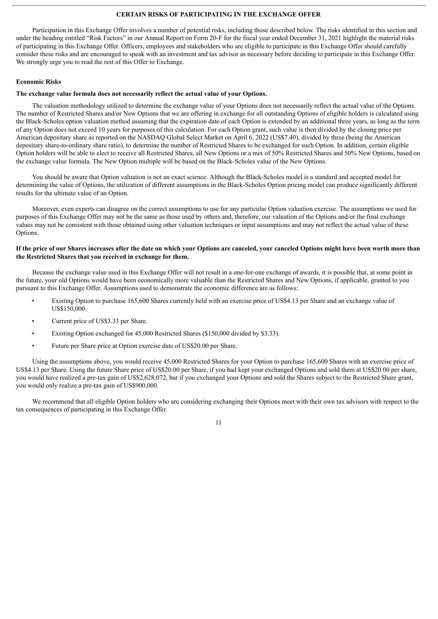#### **CERTAIN RISKS OF PARTICIPATING IN THE EXCHANGE OFFER**

Participation in this Exchange Offer involves a number of potential risks, including those described below. The risks identified in this section and under the heading entitled "Risk Factors" in our Annual Report on Form 20-F for the fiscal year ended December 31, 2021 highlight the material risks of participating in this Exchange Offer. Officers, employees and stakeholders who are eligible to participate in this Exchange Offer should carefully consider these risks and are encouraged to speak with an investment and tax advisor as necessary before deciding to participate in this Exchange Offer. We strongly urge you to read the rest of this Offer to Exchange.

#### **Economic Risks**

#### **The exchange value formula does not necessarily reflect the actual value of your Options.**

The valuation methodology utilized to determine the exchange value of your Options does not necessarily reflect the actual value of the Options. The number of Restricted Shares and/or New Options that we are offering in exchange for all outstanding Options of eligible holders is calculated using the Black-Scholes option valuation method assuming that the expiration date of each Option is extended by an additional three years, as long as the term of any Option does not exceed 10 years for purposes of this calculation. For each Option grant, such value is then divided by the closing price per American depositary share as reported on the NASDAQ Global Select Market on April 6, 2022 (US\$7.40), divided by three (being the American depositary share-to-ordinary share ratio), to determine the number of Restricted Shares to be exchanged for such Option. In addition, certain eligible Option holders will be able to elect to receive all Restricted Shares, all New Options or a mix of 50% Restricted Shares and 50% New Options, based on the exchange value formula. The New Option multiple will be based on the Black-Scholes value of the New Options.

You should be aware that Option valuation is not an exact science. Although the Black-Scholes model is a standard and accepted model for determining the value of Options, the utilization of different assumptions in the Black-Scholes Option pricing model can produce significantly different results for the ultimate value of an Option.

Moreover, even experts can disagree on the correct assumptions to use for any particular Option valuation exercise. The assumptions we used for purposes of this Exchange Offer may not be the same as those used by others and, therefore, our valuation of the Options and/or the final exchange values may not be consistent with those obtained using other valuation techniques or input assumptions and may not reflect the actual value of these Options.

#### If the price of our Shares increases after the date on which your Options are canceled, your canceled Options might have been worth more than **the Restricted Shares that you received in exchange for them.**

Because the exchange value used in this Exchange Offer will not result in a one-for-one exchange of awards, it is possible that, at some point in the future, your old Options would have been economically more valuable than the Restricted Shares and New Options, if applicable, granted to you pursuant to this Exchange Offer. Assumptions used to demonstrate the economic difference are as follows:

- Existing Option to purchase 165,600 Shares currently held with an exercise price of US\$4.13 per Share and an exchange value of US\$150,000.
- Current price of US\$3.33 per Share.
- Existing Option exchanged for 45,000 Restricted Shares (\$150,000 divided by \$3.33).
- Future per Share price at Option exercise date of US\$20.00 per Share.

Using the assumptions above, you would receive 45,000 Restricted Shares for your Option to purchase 165,600 Shares with an exercise price of US\$4.13 per Share. Using the future Share price of US\$20.00 per Share, if you had kept your exchanged Options and sold them at US\$20.00 per share, you would have realized a pre-tax gain of US\$2,628,072, but if you exchanged your Options and sold the Shares subject to the Restricted Share grant, you would only realize a pre-tax gain of US\$900,000.

We recommend that all eligible Option holders who are considering exchanging their Options meet with their own tax advisors with respect to the tax consequences of participating in this Exchange Offer.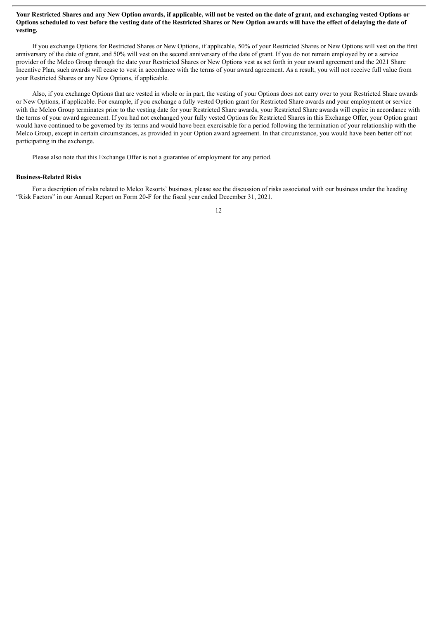#### Your Restricted Shares and any New Option awards, if applicable, will not be vested on the date of grant, and exchanging vested Options or Options scheduled to vest before the vesting date of the Restricted Shares or New Option awards will have the effect of delaving the date of **vesting.**

If you exchange Options for Restricted Shares or New Options, if applicable, 50% of your Restricted Shares or New Options will vest on the first anniversary of the date of grant, and 50% will vest on the second anniversary of the date of grant. If you do not remain employed by or a service provider of the Melco Group through the date your Restricted Shares or New Options vest as set forth in your award agreement and the 2021 Share Incentive Plan, such awards will cease to vest in accordance with the terms of your award agreement. As a result, you will not receive full value from your Restricted Shares or any New Options, if applicable.

Also, if you exchange Options that are vested in whole or in part, the vesting of your Options does not carry over to your Restricted Share awards or New Options, if applicable. For example, if you exchange a fully vested Option grant for Restricted Share awards and your employment or service with the Melco Group terminates prior to the vesting date for your Restricted Share awards, your Restricted Share awards will expire in accordance with the terms of your award agreement. If you had not exchanged your fully vested Options for Restricted Shares in this Exchange Offer, your Option grant would have continued to be governed by its terms and would have been exercisable for a period following the termination of your relationship with the Melco Group, except in certain circumstances, as provided in your Option award agreement. In that circumstance, you would have been better off not participating in the exchange.

Please also note that this Exchange Offer is not a guarantee of employment for any period.

#### **Business-Related Risks**

For a description of risks related to Melco Resorts' business, please see the discussion of risks associated with our business under the heading "Risk Factors" in our Annual Report on Form 20-F for the fiscal year ended December 31, 2021.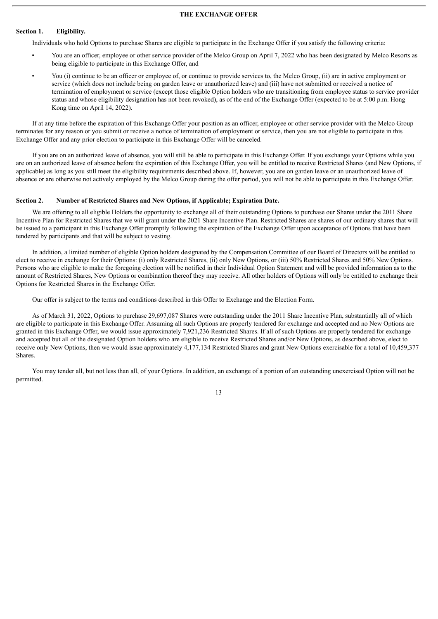#### **THE EXCHANGE OFFER**

#### **Section 1. Eligibility.**

Individuals who hold Options to purchase Shares are eligible to participate in the Exchange Offer if you satisfy the following criteria:

- You are an officer, employee or other service provider of the Melco Group on April 7, 2022 who has been designated by Melco Resorts as being eligible to participate in this Exchange Offer, and
- You (i) continue to be an officer or employee of, or continue to provide services to, the Melco Group, (ii) are in active employment or service (which does not include being on garden leave or unauthorized leave) and (iii) have not submitted or received a notice of termination of employment or service (except those eligible Option holders who are transitioning from employee status to service provider status and whose eligibility designation has not been revoked), as of the end of the Exchange Offer (expected to be at 5:00 p.m. Hong Kong time on April 14, 2022).

If at any time before the expiration of this Exchange Offer your position as an officer, employee or other service provider with the Melco Group terminates for any reason or you submit or receive a notice of termination of employment or service, then you are not eligible to participate in this Exchange Offer and any prior election to participate in this Exchange Offer will be canceled.

If you are on an authorized leave of absence, you will still be able to participate in this Exchange Offer. If you exchange your Options while you are on an authorized leave of absence before the expiration of this Exchange Offer, you will be entitled to receive Restricted Shares (and New Options, if applicable) as long as you still meet the eligibility requirements described above. If, however, you are on garden leave or an unauthorized leave of absence or are otherwise not actively employed by the Melco Group during the offer period, you will not be able to participate in this Exchange Offer.

#### **Section 2. Number of Restricted Shares and New Options, if Applicable; Expiration Date.**

We are offering to all eligible Holders the opportunity to exchange all of their outstanding Options to purchase our Shares under the 2011 Share Incentive Plan for Restricted Shares that we will grant under the 2021 Share Incentive Plan. Restricted Shares are shares of our ordinary shares that will be issued to a participant in this Exchange Offer promptly following the expiration of the Exchange Offer upon acceptance of Options that have been tendered by participants and that will be subject to vesting.

In addition, a limited number of eligible Option holders designated by the Compensation Committee of our Board of Directors will be entitled to elect to receive in exchange for their Options: (i) only Restricted Shares, (ii) only New Options, or (iii) 50% Restricted Shares and 50% New Options. Persons who are eligible to make the foregoing election will be notified in their Individual Option Statement and will be provided information as to the amount of Restricted Shares, New Options or combination thereof they may receive. All other holders of Options will only be entitled to exchange their Options for Restricted Shares in the Exchange Offer.

Our offer is subject to the terms and conditions described in this Offer to Exchange and the Election Form.

As of March 31, 2022, Options to purchase 29,697,087 Shares were outstanding under the 2011 Share Incentive Plan, substantially all of which are eligible to participate in this Exchange Offer. Assuming all such Options are properly tendered for exchange and accepted and no New Options are granted in this Exchange Offer, we would issue approximately 7,921,236 Restricted Shares. If all of such Options are properly tendered for exchange and accepted but all of the designated Option holders who are eligible to receive Restricted Shares and/or New Options, as described above, elect to receive only New Options, then we would issue approximately 4,177,134 Restricted Shares and grant New Options exercisable for a total of 10,459,377 Shares.

You may tender all, but not less than all, of your Options. In addition, an exchange of a portion of an outstanding unexercised Option will not be permitted.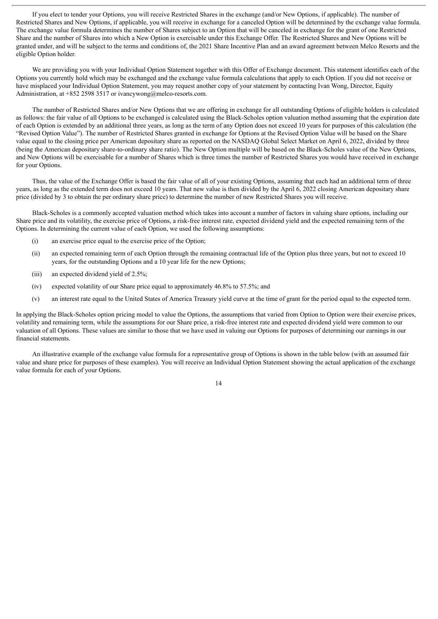If you elect to tender your Options, you will receive Restricted Shares in the exchange (and/or New Options, if applicable). The number of Restricted Shares and New Options, if applicable, you will receive in exchange for a canceled Option will be determined by the exchange value formula. The exchange value formula determines the number of Shares subject to an Option that will be canceled in exchange for the grant of one Restricted Share and the number of Shares into which a New Option is exercisable under this Exchange Offer. The Restricted Shares and New Options will be granted under, and will be subject to the terms and conditions of, the 2021 Share Incentive Plan and an award agreement between Melco Resorts and the eligible Option holder.

We are providing you with your Individual Option Statement together with this Offer of Exchange document. This statement identifies each of the Options you currently hold which may be exchanged and the exchange value formula calculations that apply to each Option. If you did not receive or have misplaced your Individual Option Statement, you may request another copy of your statement by contacting Ivan Wong, Director, Equity Administration, at +852 2598 3517 or ivancywong@melco-resorts.com.

The number of Restricted Shares and/or New Options that we are offering in exchange for all outstanding Options of eligible holders is calculated as follows: the fair value of all Options to be exchanged is calculated using the Black-Scholes option valuation method assuming that the expiration date of each Option is extended by an additional three years, as long as the term of any Option does not exceed 10 years for purposes of this calculation (the "Revised Option Value"). The number of Restricted Shares granted in exchange for Options at the Revised Option Value will be based on the Share value equal to the closing price per American depositary share as reported on the NASDAQ Global Select Market on April 6, 2022, divided by three (being the American depositary share-to-ordinary share ratio). The New Option multiple will be based on the Black-Scholes value of the New Options, and New Options will be exercisable for a number of Shares which is three times the number of Restricted Shares you would have received in exchange for your Options.

Thus, the value of the Exchange Offer is based the fair value of all of your existing Options, assuming that each had an additional term of three years, as long as the extended term does not exceed 10 years. That new value is then divided by the April 6, 2022 closing American depositary share price (divided by 3 to obtain the per ordinary share price) to determine the number of new Restricted Shares you will receive.

Black-Scholes is a commonly accepted valuation method which takes into account a number of factors in valuing share options, including our Share price and its volatility, the exercise price of Options, a risk-free interest rate, expected dividend yield and the expected remaining term of the Options. In determining the current value of each Option, we used the following assumptions:

- (i) an exercise price equal to the exercise price of the Option;
- (ii) an expected remaining term of each Option through the remaining contractual life of the Option plus three years, but not to exceed 10 years, for the outstanding Options and a 10 year life for the new Options;
- (iii) an expected dividend yield of 2.5%;
- (iv) expected volatility of our Share price equal to approximately 46.8% to 57.5%; and
- (v) an interest rate equal to the United States of America Treasury yield curve at the time of grant for the period equal to the expected term.

In applying the Black-Scholes option pricing model to value the Options, the assumptions that varied from Option to Option were their exercise prices, volatility and remaining term, while the assumptions for our Share price, a risk-free interest rate and expected dividend yield were common to our valuation of all Options. These values are similar to those that we have used in valuing our Options for purposes of determining our earnings in our financial statements.

An illustrative example of the exchange value formula for a representative group of Options is shown in the table below (with an assumed fair value and share price for purposes of these examples). You will receive an Individual Option Statement showing the actual application of the exchange value formula for each of your Options.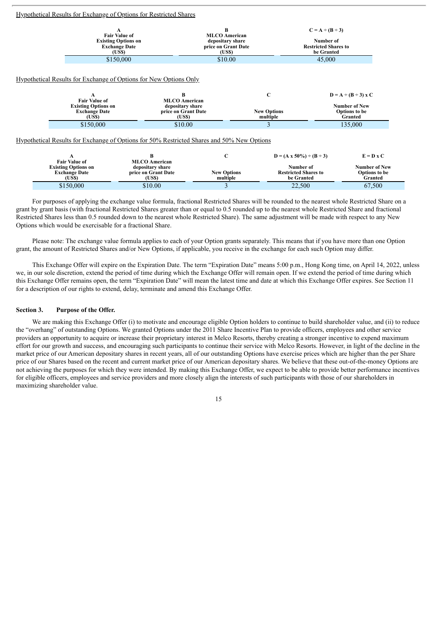#### Hypothetical Results for Exchange of Options for Restricted Shares

|                            |                      | $C = A \div (B \div 3)$     |
|----------------------------|----------------------|-----------------------------|
| <b>Fair Value of</b>       | <b>MLCO</b> American |                             |
| <b>Existing Options on</b> | depositary share     | Number of                   |
| <b>Exchange Date</b>       | price on Grant Date  | <b>Restricted Shares to</b> |
| (US\$)                     | (US\$)               | be Granted                  |
| \$150,000                  | \$10.00              | 45,000                      |

#### Hypothetical Results for Exchange of Options for New Options Only

|                            |                      |                    | $D = A \div (B \div 3)$ x C |
|----------------------------|----------------------|--------------------|-----------------------------|
| <b>Fair Value of</b>       | <b>MLCO</b> American |                    |                             |
| <b>Existing Options on</b> | depositary share     |                    | <b>Number of New</b>        |
| <b>Exchange Date</b>       | price on Grant Date  | <b>New Options</b> | <b>Options</b> to be        |
| (US\$)                     | (US\$)               | multiple           | Granted                     |
| \$150,000                  | \$10.00              |                    | 135,000                     |

Hypothetical Results for Exchange of Options for 50% Restricted Shares and 50% New Options

|                                                    |                                          |                                | $D = (A \times 50\%) \div (B \div 3)$     | $E = D \times C$                |
|----------------------------------------------------|------------------------------------------|--------------------------------|-------------------------------------------|---------------------------------|
| <b>Fair Value of</b><br><b>Existing Options on</b> | <b>MLCO</b> American<br>depositary share |                                | Number of                                 | <b>Number of New</b>            |
| <b>Exchange Date</b><br>(US\$)                     | price on Grant Date<br>(US\$)            | <b>New Options</b><br>multiple | <b>Restricted Shares to</b><br>be Granted | <b>Options</b> to be<br>Granted |
| \$150,000                                          | \$10.00                                  |                                | 22,500                                    | 67.500                          |

For purposes of applying the exchange value formula, fractional Restricted Shares will be rounded to the nearest whole Restricted Share on a grant by grant basis (with fractional Restricted Shares greater than or equal to 0.5 rounded up to the nearest whole Restricted Share and fractional Restricted Shares less than 0.5 rounded down to the nearest whole Restricted Share). The same adjustment will be made with respect to any New Options which would be exercisable for a fractional Share.

Please note: The exchange value formula applies to each of your Option grants separately. This means that if you have more than one Option grant, the amount of Restricted Shares and/or New Options, if applicable, you receive in the exchange for each such Option may differ.

This Exchange Offer will expire on the Expiration Date. The term "Expiration Date" means 5:00 p.m., Hong Kong time, on April 14, 2022, unless we, in our sole discretion, extend the period of time during which the Exchange Offer will remain open. If we extend the period of time during which this Exchange Offer remains open, the term "Expiration Date" will mean the latest time and date at which this Exchange Offer expires. See Section 11 for a description of our rights to extend, delay, terminate and amend this Exchange Offer.

#### **Section 3. Purpose of the Offer.**

We are making this Exchange Offer (i) to motivate and encourage eligible Option holders to continue to build shareholder value, and (ii) to reduce the "overhang" of outstanding Options. We granted Options under the 2011 Share Incentive Plan to provide officers, employees and other service providers an opportunity to acquire or increase their proprietary interest in Melco Resorts, thereby creating a stronger incentive to expend maximum effort for our growth and success, and encouraging such participants to continue their service with Melco Resorts. However, in light of the decline in the market price of our American depositary shares in recent years, all of our outstanding Options have exercise prices which are higher than the per Share price of our Shares based on the recent and current market price of our American depositary shares. We believe that these out-of-the-money Options are not achieving the purposes for which they were intended. By making this Exchange Offer, we expect to be able to provide better performance incentives for eligible officers, employees and service providers and more closely align the interests of such participants with those of our shareholders in maximizing shareholder value.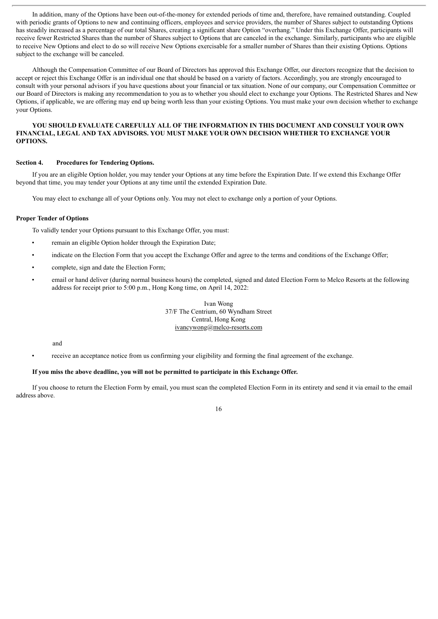In addition, many of the Options have been out-of-the-money for extended periods of time and, therefore, have remained outstanding. Coupled with periodic grants of Options to new and continuing officers, employees and service providers, the number of Shares subject to outstanding Options has steadily increased as a percentage of our total Shares, creating a significant share Option "overhang." Under this Exchange Offer, participants will receive fewer Restricted Shares than the number of Shares subject to Options that are canceled in the exchange. Similarly, participants who are eligible to receive New Options and elect to do so will receive New Options exercisable for a smaller number of Shares than their existing Options. Options subject to the exchange will be canceled.

Although the Compensation Committee of our Board of Directors has approved this Exchange Offer, our directors recognize that the decision to accept or reject this Exchange Offer is an individual one that should be based on a variety of factors. Accordingly, you are strongly encouraged to consult with your personal advisors if you have questions about your financial or tax situation. None of our company, our Compensation Committee or our Board of Directors is making any recommendation to you as to whether you should elect to exchange your Options. The Restricted Shares and New Options, if applicable, we are offering may end up being worth less than your existing Options. You must make your own decision whether to exchange your Options.

#### **YOU SHOULD EVALUATE CAREFULLY ALL OF THE INFORMATION IN THIS DOCUMENT AND CONSULT YOUR OWN FINANCIAL, LEGAL AND TAX ADVISORS. YOU MUST MAKE YOUR OWN DECISION WHETHER TO EXCHANGE YOUR OPTIONS.**

#### **Section 4. Procedures for Tendering Options.**

If you are an eligible Option holder, you may tender your Options at any time before the Expiration Date. If we extend this Exchange Offer beyond that time, you may tender your Options at any time until the extended Expiration Date.

You may elect to exchange all of your Options only. You may not elect to exchange only a portion of your Options.

#### **Proper Tender of Options**

To validly tender your Options pursuant to this Exchange Offer, you must:

- remain an eligible Option holder through the Expiration Date;
- indicate on the Election Form that you accept the Exchange Offer and agree to the terms and conditions of the Exchange Offer;
- complete, sign and date the Election Form;
- email or hand deliver (during normal business hours) the completed, signed and dated Election Form to Melco Resorts at the following address for receipt prior to 5:00 p.m., Hong Kong time, on April 14, 2022:

Ivan Wong 37/F The Centrium, 60 Wyndham Street Central, Hong Kong ivancywong@melco-resorts.com

and

• receive an acceptance notice from us confirming your eligibility and forming the final agreement of the exchange.

#### **If you miss the above deadline, you will not be permitted to participate in this Exchange Offer.**

If you choose to return the Election Form by email, you must scan the completed Election Form in its entirety and send it via email to the email address above.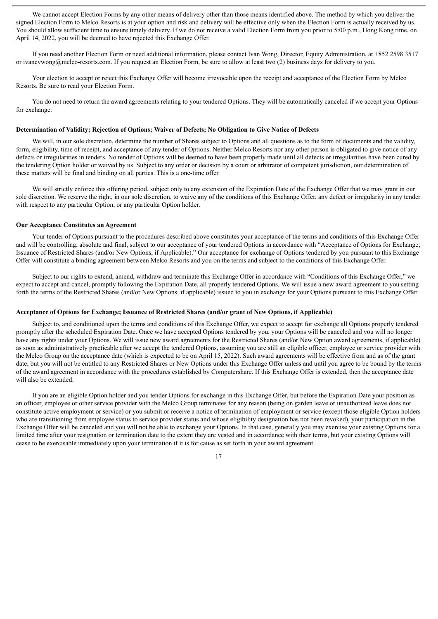We cannot accept Election Forms by any other means of delivery other than those means identified above. The method by which you deliver the signed Election Form to Melco Resorts is at your option and risk and delivery will be effective only when the Election Form is actually received by us. You should allow sufficient time to ensure timely delivery. If we do not receive a valid Election Form from you prior to 5:00 p.m., Hong Kong time, on April 14, 2022, you will be deemed to have rejected this Exchange Offer.

If you need another Election Form or need additional information, please contact Ivan Wong, Director, Equity Administration, at +852 2598 3517 or ivancywong@melco-resorts.com. If you request an Election Form, be sure to allow at least two (2) business days for delivery to you.

Your election to accept or reject this Exchange Offer will become irrevocable upon the receipt and acceptance of the Election Form by Melco Resorts. Be sure to read your Election Form.

You do not need to return the award agreements relating to your tendered Options. They will be automatically canceled if we accept your Options for exchange.

#### **Determination of Validity; Rejection of Options; Waiver of Defects; No Obligation to Give Notice of Defects**

We will, in our sole discretion, determine the number of Shares subject to Options and all questions as to the form of documents and the validity, form, eligibility, time of receipt, and acceptance of any tender of Options. Neither Melco Resorts nor any other person is obligated to give notice of any defects or irregularities in tenders. No tender of Options will be deemed to have been properly made until all defects or irregularities have been cured by the tendering Option holder or waived by us. Subject to any order or decision by a court or arbitrator of competent jurisdiction, our determination of these matters will be final and binding on all parties. This is a one-time offer.

We will strictly enforce this offering period, subject only to any extension of the Expiration Date of the Exchange Offer that we may grant in our sole discretion. We reserve the right, in our sole discretion, to waive any of the conditions of this Exchange Offer, any defect or irregularity in any tender with respect to any particular Option, or any particular Option holder.

#### **Our Acceptance Constitutes an Agreement**

Your tender of Options pursuant to the procedures described above constitutes your acceptance of the terms and conditions of this Exchange Offer and will be controlling, absolute and final, subject to our acceptance of your tendered Options in accordance with "Acceptance of Options for Exchange; Issuance of Restricted Shares (and/or New Options, if Applicable)." Our acceptance for exchange of Options tendered by you pursuant to this Exchange Offer will constitute a binding agreement between Melco Resorts and you on the terms and subject to the conditions of this Exchange Offer.

Subject to our rights to extend, amend, withdraw and terminate this Exchange Offer in accordance with "Conditions of this Exchange Offer," we expect to accept and cancel, promptly following the Expiration Date, all properly tendered Options. We will issue a new award agreement to you setting forth the terms of the Restricted Shares (and/or New Options, if applicable) issued to you in exchange for your Options pursuant to this Exchange Offer.

#### **Acceptance of Options for Exchange; Issuance of Restricted Shares (and/or grant of New Options, if Applicable)**

Subject to, and conditioned upon the terms and conditions of this Exchange Offer, we expect to accept for exchange all Options properly tendered promptly after the scheduled Expiration Date. Once we have accepted Options tendered by you, your Options will be canceled and you will no longer have any rights under your Options. We will issue new award agreements for the Restricted Shares (and/or New Option award agreements, if applicable) as soon as administratively practicable after we accept the tendered Options, assuming you are still an eligible officer, employee or service provider with the Melco Group on the acceptance date (which is expected to be on April 15, 2022). Such award agreements will be effective from and as of the grant date, but you will not be entitled to any Restricted Shares or New Options under this Exchange Offer unless and until you agree to be bound by the terms of the award agreement in accordance with the procedures established by Computershare. If this Exchange Offer is extended, then the acceptance date will also be extended.

If you are an eligible Option holder and you tender Options for exchange in this Exchange Offer, but before the Expiration Date your position as an officer, employee or other service provider with the Melco Group terminates for any reason (being on garden leave or unauthorized leave does not constitute active employment or service) or you submit or receive a notice of termination of employment or service (except those eligible Option holders who are transitioning from employee status to service provider status and whose eligibility designation has not been revoked), your participation in the Exchange Offer will be canceled and you will not be able to exchange your Options. In that case, generally you may exercise your existing Options for a limited time after your resignation or termination date to the extent they are vested and in accordance with their terms, but your existing Options will cease to be exercisable immediately upon your termination if it is for cause as set forth in your award agreement.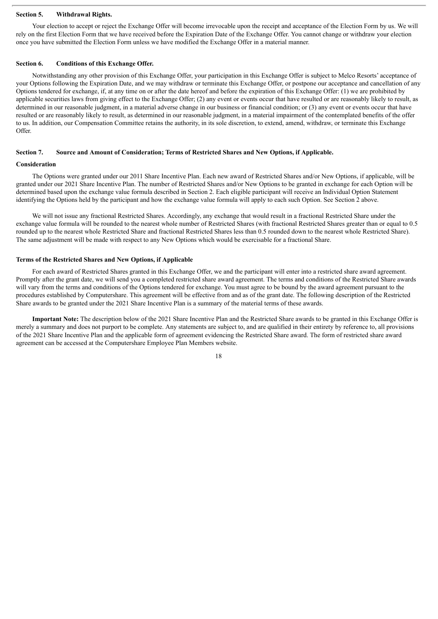#### **Section 5. Withdrawal Rights.**

Your election to accept or reject the Exchange Offer will become irrevocable upon the receipt and acceptance of the Election Form by us. We will rely on the first Election Form that we have received before the Expiration Date of the Exchange Offer. You cannot change or withdraw your election once you have submitted the Election Form unless we have modified the Exchange Offer in a material manner.

#### **Section 6. Conditions of this Exchange Offer.**

Notwithstanding any other provision of this Exchange Offer, your participation in this Exchange Offer is subject to Melco Resorts' acceptance of your Options following the Expiration Date, and we may withdraw or terminate this Exchange Offer, or postpone our acceptance and cancellation of any Options tendered for exchange, if, at any time on or after the date hereof and before the expiration of this Exchange Offer: (1) we are prohibited by applicable securities laws from giving effect to the Exchange Offer; (2) any event or events occur that have resulted or are reasonably likely to result, as determined in our reasonable judgment, in a material adverse change in our business or financial condition; or (3) any event or events occur that have resulted or are reasonably likely to result, as determined in our reasonable judgment, in a material impairment of the contemplated benefits of the offer to us. In addition, our Compensation Committee retains the authority, in its sole discretion, to extend, amend, withdraw, or terminate this Exchange Offer.

#### **Section 7. Source and Amount of Consideration; Terms of Restricted Shares and New Options, if Applicable.**

#### **Consideration**

The Options were granted under our 2011 Share Incentive Plan. Each new award of Restricted Shares and/or New Options, if applicable, will be granted under our 2021 Share Incentive Plan. The number of Restricted Shares and/or New Options to be granted in exchange for each Option will be determined based upon the exchange value formula described in Section 2. Each eligible participant will receive an Individual Option Statement identifying the Options held by the participant and how the exchange value formula will apply to each such Option. See Section 2 above.

We will not issue any fractional Restricted Shares. Accordingly, any exchange that would result in a fractional Restricted Share under the exchange value formula will be rounded to the nearest whole number of Restricted Shares (with fractional Restricted Shares greater than or equal to 0.5 rounded up to the nearest whole Restricted Share and fractional Restricted Shares less than 0.5 rounded down to the nearest whole Restricted Share). The same adjustment will be made with respect to any New Options which would be exercisable for a fractional Share.

#### **Terms of the Restricted Shares and New Options, if Applicable**

For each award of Restricted Shares granted in this Exchange Offer, we and the participant will enter into a restricted share award agreement. Promptly after the grant date, we will send you a completed restricted share award agreement. The terms and conditions of the Restricted Share awards will vary from the terms and conditions of the Options tendered for exchange. You must agree to be bound by the award agreement pursuant to the procedures established by Computershare. This agreement will be effective from and as of the grant date. The following description of the Restricted Share awards to be granted under the 2021 Share Incentive Plan is a summary of the material terms of these awards.

**Important Note:** The description below of the 2021 Share Incentive Plan and the Restricted Share awards to be granted in this Exchange Offer is merely a summary and does not purport to be complete. Any statements are subject to, and are qualified in their entirety by reference to, all provisions of the 2021 Share Incentive Plan and the applicable form of agreement evidencing the Restricted Share award. The form of restricted share award agreement can be accessed at the Computershare Employee Plan Members website.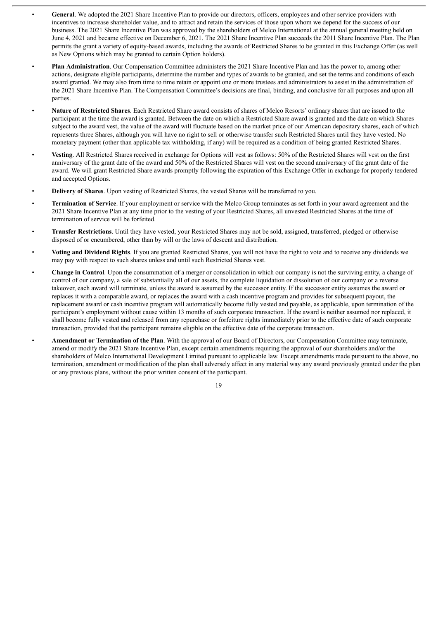- **General**. We adopted the 2021 Share Incentive Plan to provide our directors, officers, employees and other service providers with incentives to increase shareholder value, and to attract and retain the services of those upon whom we depend for the success of our business. The 2021 Share Incentive Plan was approved by the shareholders of Melco International at the annual general meeting held on June 4, 2021 and became effective on December 6, 2021. The 2021 Share Incentive Plan succeeds the 2011 Share Incentive Plan. The Plan permits the grant a variety of equity-based awards, including the awards of Restricted Shares to be granted in this Exchange Offer (as well as New Options which may be granted to certain Option holders).
- **Plan Administration**. Our Compensation Committee administers the 2021 Share Incentive Plan and has the power to, among other actions, designate eligible participants, determine the number and types of awards to be granted, and set the terms and conditions of each award granted. We may also from time to time retain or appoint one or more trustees and administrators to assist in the administration of the 2021 Share Incentive Plan. The Compensation Committee's decisions are final, binding, and conclusive for all purposes and upon all parties.
- **Nature of Restricted Shares**. Each Restricted Share award consists of shares of Melco Resorts' ordinary shares that are issued to the participant at the time the award is granted. Between the date on which a Restricted Share award is granted and the date on which Shares subject to the award vest, the value of the award will fluctuate based on the market price of our American depositary shares, each of which represents three Shares, although you will have no right to sell or otherwise transfer such Restricted Shares until they have vested. No monetary payment (other than applicable tax withholding, if any) will be required as a condition of being granted Restricted Shares.
- **Vesting**. All Restricted Shares received in exchange for Options will vest as follows: 50% of the Restricted Shares will vest on the first anniversary of the grant date of the award and 50% of the Restricted Shares will vest on the second anniversary of the grant date of the award. We will grant Restricted Share awards promptly following the expiration of this Exchange Offer in exchange for properly tendered and accepted Options.
- **Delivery of Shares**. Upon vesting of Restricted Shares, the vested Shares will be transferred to you.
- **Termination of Service**. If your employment or service with the Melco Group terminates as set forth in your award agreement and the 2021 Share Incentive Plan at any time prior to the vesting of your Restricted Shares, all unvested Restricted Shares at the time of termination of service will be forfeited.
- **Transfer Restrictions**. Until they have vested, your Restricted Shares may not be sold, assigned, transferred, pledged or otherwise disposed of or encumbered, other than by will or the laws of descent and distribution.
- **Voting and Dividend Rights**. If you are granted Restricted Shares, you will not have the right to vote and to receive any dividends we may pay with respect to such shares unless and until such Restricted Shares vest.
- **Change in Control**. Upon the consummation of a merger or consolidation in which our company is not the surviving entity, a change of control of our company, a sale of substantially all of our assets, the complete liquidation or dissolution of our company or a reverse takeover, each award will terminate, unless the award is assumed by the successor entity. If the successor entity assumes the award or replaces it with a comparable award, or replaces the award with a cash incentive program and provides for subsequent payout, the replacement award or cash incentive program will automatically become fully vested and payable, as applicable, upon termination of the participant's employment without cause within 13 months of such corporate transaction. If the award is neither assumed nor replaced, it shall become fully vested and released from any repurchase or forfeiture rights immediately prior to the effective date of such corporate transaction, provided that the participant remains eligible on the effective date of the corporate transaction.
- **Amendment or Termination of the Plan**. With the approval of our Board of Directors, our Compensation Committee may terminate, amend or modify the 2021 Share Incentive Plan, except certain amendments requiring the approval of our shareholders and/or the shareholders of Melco International Development Limited pursuant to applicable law. Except amendments made pursuant to the above, no termination, amendment or modification of the plan shall adversely affect in any material way any award previously granted under the plan or any previous plans, without the prior written consent of the participant.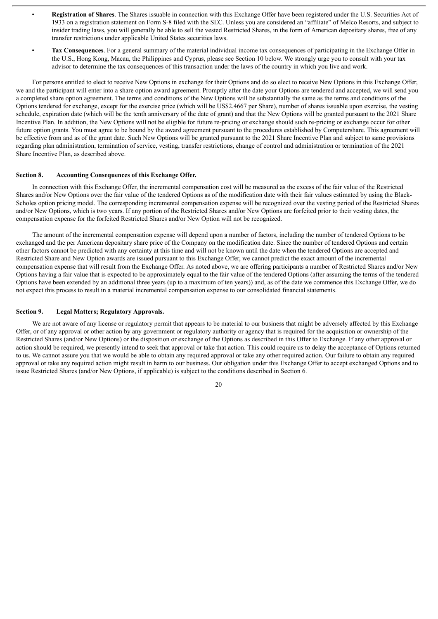- **Registration of Shares**. The Shares issuable in connection with this Exchange Offer have been registered under the U.S. Securities Act of 1933 on a registration statement on Form S-8 filed with the SEC. Unless you are considered an "affiliate" of Melco Resorts, and subject to insider trading laws, you will generally be able to sell the vested Restricted Shares, in the form of American depositary shares, free of any transfer restrictions under applicable United States securities laws.
- **Tax Consequences**. For a general summary of the material individual income tax consequences of participating in the Exchange Offer in the U.S., Hong Kong, Macau, the Philippines and Cyprus, please see Section 10 below. We strongly urge you to consult with your tax advisor to determine the tax consequences of this transaction under the laws of the country in which you live and work.

For persons entitled to elect to receive New Options in exchange for their Options and do so elect to receive New Options in this Exchange Offer, we and the participant will enter into a share option award agreement. Promptly after the date your Options are tendered and accepted, we will send you a completed share option agreement. The terms and conditions of the New Options will be substantially the same as the terms and conditions of the Options tendered for exchange, except for the exercise price (which will be US\$2.4667 per Share), number of shares issuable upon exercise, the vesting schedule, expiration date (which will be the tenth anniversary of the date of grant) and that the New Options will be granted pursuant to the 2021 Share Incentive Plan. In addition, the New Options will not be eligible for future re-pricing or exchange should such re-pricing or exchange occur for other future option grants. You must agree to be bound by the award agreement pursuant to the procedures established by Computershare. This agreement will be effective from and as of the grant date. Such New Options will be granted pursuant to the 2021 Share Incentive Plan and subject to same provisions regarding plan administration, termination of service, vesting, transfer restrictions, change of control and administration or termination of the 2021 Share Incentive Plan, as described above.

#### **Section 8. Accounting Consequences of this Exchange Offer.**

In connection with this Exchange Offer, the incremental compensation cost will be measured as the excess of the fair value of the Restricted Shares and/or New Options over the fair value of the tendered Options as of the modification date with their fair values estimated by using the Black-Scholes option pricing model. The corresponding incremental compensation expense will be recognized over the vesting period of the Restricted Shares and/or New Options, which is two years. If any portion of the Restricted Shares and/or New Options are forfeited prior to their vesting dates, the compensation expense for the forfeited Restricted Shares and/or New Option will not be recognized.

The amount of the incremental compensation expense will depend upon a number of factors, including the number of tendered Options to be exchanged and the per American depositary share price of the Company on the modification date. Since the number of tendered Options and certain other factors cannot be predicted with any certainty at this time and will not be known until the date when the tendered Options are accepted and Restricted Share and New Option awards are issued pursuant to this Exchange Offer, we cannot predict the exact amount of the incremental compensation expense that will result from the Exchange Offer. As noted above, we are offering participants a number of Restricted Shares and/or New Options having a fair value that is expected to be approximately equal to the fair value of the tendered Options (after assuming the terms of the tendered Options have been extended by an additional three years (up to a maximum of ten years)) and, as of the date we commence this Exchange Offer, we do not expect this process to result in a material incremental compensation expense to our consolidated financial statements.

#### **Section 9. Legal Matters; Regulatory Approvals.**

We are not aware of any license or regulatory permit that appears to be material to our business that might be adversely affected by this Exchange Offer, or of any approval or other action by any government or regulatory authority or agency that is required for the acquisition or ownership of the Restricted Shares (and/or New Options) or the disposition or exchange of the Options as described in this Offer to Exchange. If any other approval or action should be required, we presently intend to seek that approval or take that action. This could require us to delay the acceptance of Options returned to us. We cannot assure you that we would be able to obtain any required approval or take any other required action. Our failure to obtain any required approval or take any required action might result in harm to our business. Our obligation under this Exchange Offer to accept exchanged Options and to issue Restricted Shares (and/or New Options, if applicable) is subject to the conditions described in Section 6.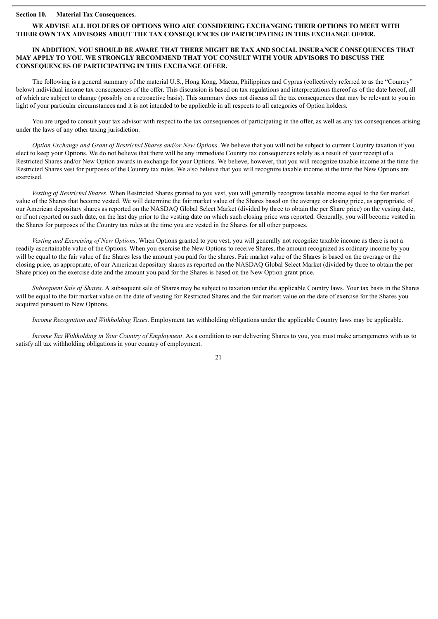#### **Section 10. Material Tax Consequences.**

#### **WE ADVISE ALL HOLDERS OF OPTIONS WHO ARE CONSIDERING EXCHANGING THEIR OPTIONS TO MEET WITH THEIR OWN TAX ADVISORS ABOUT THE TAX CONSEQUENCES OF PARTICIPATING IN THIS EXCHANGE OFFER.**

#### **IN ADDITION, YOU SHOULD BE AWARE THAT THERE MIGHT BE TAX AND SOCIAL INSURANCE CONSEQUENCES THAT MAY APPLY TO YOU. WE STRONGLY RECOMMEND THAT YOU CONSULT WITH YOUR ADVISORS TO DISCUSS THE CONSEQUENCES OF PARTICIPATING IN THIS EXCHANGE OFFER.**

The following is a general summary of the material U.S., Hong Kong, Macau, Philippines and Cyprus (collectively referred to as the "Country" below) individual income tax consequences of the offer. This discussion is based on tax regulations and interpretations thereof as of the date hereof, all of which are subject to change (possibly on a retroactive basis). This summary does not discuss all the tax consequences that may be relevant to you in light of your particular circumstances and it is not intended to be applicable in all respects to all categories of Option holders.

You are urged to consult your tax advisor with respect to the tax consequences of participating in the offer, as well as any tax consequences arising under the laws of any other taxing jurisdiction.

*Option Exchange and Grant of Restricted Shares and/or New Options*. We believe that you will not be subject to current Country taxation if you elect to keep your Options. We do not believe that there will be any immediate Country tax consequences solely as a result of your receipt of a Restricted Shares and/or New Option awards in exchange for your Options. We believe, however, that you will recognize taxable income at the time the Restricted Shares vest for purposes of the Country tax rules. We also believe that you will recognize taxable income at the time the New Options are exercised.

*Vesting of Restricted Shares*. When Restricted Shares granted to you vest, you will generally recognize taxable income equal to the fair market value of the Shares that become vested. We will determine the fair market value of the Shares based on the average or closing price, as appropriate, of our American depositary shares as reported on the NASDAQ Global Select Market (divided by three to obtain the per Share price) on the vesting date, or if not reported on such date, on the last day prior to the vesting date on which such closing price was reported. Generally, you will become vested in the Shares for purposes of the Country tax rules at the time you are vested in the Shares for all other purposes.

*Vesting and Exercising of New Options*. When Options granted to you vest, you will generally not recognize taxable income as there is not a readily ascertainable value of the Options. When you exercise the New Options to receive Shares, the amount recognized as ordinary income by you will be equal to the fair value of the Shares less the amount you paid for the shares. Fair market value of the Shares is based on the average or the closing price, as appropriate, of our American depositary shares as reported on the NASDAQ Global Select Market (divided by three to obtain the per Share price) on the exercise date and the amount you paid for the Shares is based on the New Option grant price.

*Subsequent Sale of Shares*. A subsequent sale of Shares may be subject to taxation under the applicable Country laws. Your tax basis in the Shares will be equal to the fair market value on the date of vesting for Restricted Shares and the fair market value on the date of exercise for the Shares you acquired pursuant to New Options.

*Income Recognition and Withholding Taxes*. Employment tax withholding obligations under the applicable Country laws may be applicable.

*Income Tax Withholding in Your Country of Employment*. As a condition to our delivering Shares to you, you must make arrangements with us to satisfy all tax withholding obligations in your country of employment.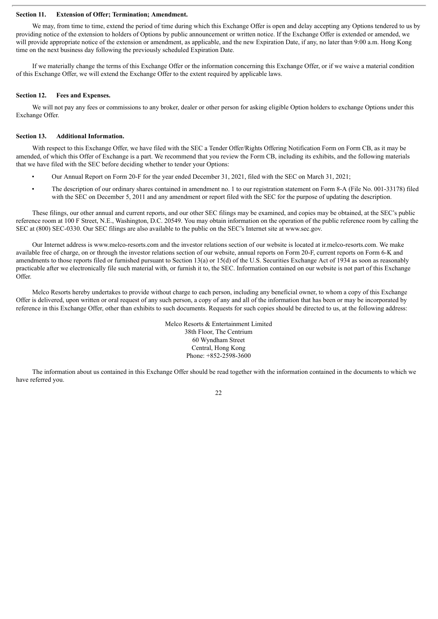#### **Section 11. Extension of Offer; Termination; Amendment.**

We may, from time to time, extend the period of time during which this Exchange Offer is open and delay accepting any Options tendered to us by providing notice of the extension to holders of Options by public announcement or written notice. If the Exchange Offer is extended or amended, we will provide appropriate notice of the extension or amendment, as applicable, and the new Expiration Date, if any, no later than 9:00 a.m. Hong Kong time on the next business day following the previously scheduled Expiration Date.

If we materially change the terms of this Exchange Offer or the information concerning this Exchange Offer, or if we waive a material condition of this Exchange Offer, we will extend the Exchange Offer to the extent required by applicable laws.

#### **Section 12. Fees and Expenses.**

We will not pay any fees or commissions to any broker, dealer or other person for asking eligible Option holders to exchange Options under this Exchange Offer.

#### **Section 13. Additional Information.**

With respect to this Exchange Offer, we have filed with the SEC a Tender Offer/Rights Offering Notification Form on Form CB, as it may be amended, of which this Offer of Exchange is a part. We recommend that you review the Form CB, including its exhibits, and the following materials that we have filed with the SEC before deciding whether to tender your Options:

- Our Annual Report on Form 20-F for the year ended December 31, 2021, filed with the SEC on March 31, 2021;
- The description of our ordinary shares contained in amendment no. 1 to our registration statement on Form 8-A (File No. 001-33178) filed with the SEC on December 5, 2011 and any amendment or report filed with the SEC for the purpose of updating the description.

These filings, our other annual and current reports, and our other SEC filings may be examined, and copies may be obtained, at the SEC's public reference room at 100 F Street, N.E., Washington, D.C. 20549. You may obtain information on the operation of the public reference room by calling the SEC at (800) SEC-0330. Our SEC filings are also available to the public on the SEC's Internet site at www.sec.gov.

Our Internet address is www.melco-resorts.com and the investor relations section of our website is located at ir.melco-resorts.com. We make available free of charge, on or through the investor relations section of our website, annual reports on Form 20-F, current reports on Form 6-K and amendments to those reports filed or furnished pursuant to Section 13(a) or 15(d) of the U.S. Securities Exchange Act of 1934 as soon as reasonably practicable after we electronically file such material with, or furnish it to, the SEC. Information contained on our website is not part of this Exchange Offer.

Melco Resorts hereby undertakes to provide without charge to each person, including any beneficial owner, to whom a copy of this Exchange Offer is delivered, upon written or oral request of any such person, a copy of any and all of the information that has been or may be incorporated by reference in this Exchange Offer, other than exhibits to such documents. Requests for such copies should be directed to us, at the following address:

> Melco Resorts & Entertainment Limited 38th Floor, The Centrium 60 Wyndham Street Central, Hong Kong Phone: +852-2598-3600

The information about us contained in this Exchange Offer should be read together with the information contained in the documents to which we have referred you.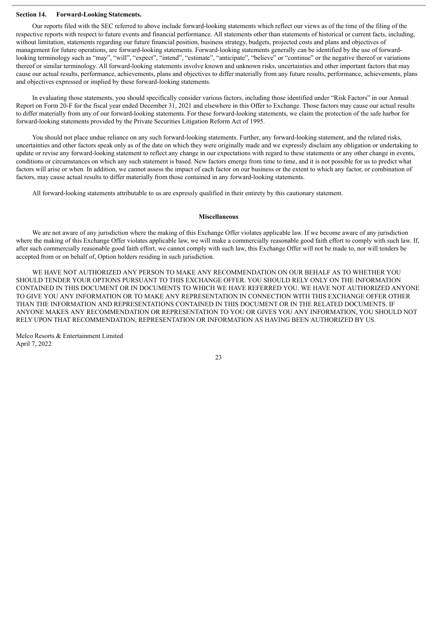#### **Section 14. Forward-Looking Statements.**

Our reports filed with the SEC referred to above include forward-looking statements which reflect our views as of the time of the filing of the respective reports with respect to future events and financial performance. All statements other than statements of historical or current facts, including, without limitation, statements regarding our future financial position, business strategy, budgets, projected costs and plans and objectives of management for future operations, are forward-looking statements. Forward-looking statements generally can be identified by the use of forwardlooking terminology such as "may", "will", "expect", "intend", "estimate", "anticipate", "believe" or "continue" or the negative thereof or variations thereof or similar terminology. All forward-looking statements involve known and unknown risks, uncertainties and other important factors that may cause our actual results, performance, achievements, plans and objectives to differ materially from any future results, performance, achievements, plans and objectives expressed or implied by these forward-looking statements.

In evaluating those statements, you should specifically consider various factors, including those identified under "Risk Factors" in our Annual Report on Form 20-F for the fiscal year ended December 31, 2021 and elsewhere in this Offer to Exchange. Those factors may cause our actual results to differ materially from any of our forward-looking statements. For these forward-looking statements, we claim the protection of the safe harbor for forward-looking statements provided by the Private Securities Litigation Reform Act of 1995.

You should not place undue reliance on any such forward-looking statements. Further, any forward-looking statement, and the related risks, uncertainties and other factors speak only as of the date on which they were originally made and we expressly disclaim any obligation or undertaking to update or revise any forward-looking statement to reflect any change in our expectations with regard to these statements or any other change in events, conditions or circumstances on which any such statement is based. New factors emerge from time to time, and it is not possible for us to predict what factors will arise or when. In addition, we cannot assess the impact of each factor on our business or the extent to which any factor, or combination of factors, may cause actual results to differ materially from those contained in any forward-looking statements.

All forward-looking statements attributable to us are expressly qualified in their entirety by this cautionary statement.

#### **Miscellaneous**

We are not aware of any jurisdiction where the making of this Exchange Offer violates applicable law. If we become aware of any jurisdiction where the making of this Exchange Offer violates applicable law, we will make a commercially reasonable good faith effort to comply with such law. If, after such commercially reasonable good faith effort, we cannot comply with such law, this Exchange Offer will not be made to, nor will tenders be accepted from or on behalf of, Option holders residing in such jurisdiction.

WE HAVE NOT AUTHORIZED ANY PERSON TO MAKE ANY RECOMMENDATION ON OUR BEHALF AS TO WHETHER YOU SHOULD TENDER YOUR OPTIONS PURSUANT TO THIS EXCHANGE OFFER. YOU SHOULD RELY ONLY ON THE INFORMATION CONTAINED IN THIS DOCUMENT OR IN DOCUMENTS TO WHICH WE HAVE REFERRED YOU. WE HAVE NOT AUTHORIZED ANYONE TO GIVE YOU ANY INFORMATION OR TO MAKE ANY REPRESENTATION IN CONNECTION WITH THIS EXCHANGE OFFER OTHER THAN THE INFORMATION AND REPRESENTATIONS CONTAINED IN THIS DOCUMENT OR IN THE RELATED DOCUMENTS. IF ANYONE MAKES ANY RECOMMENDATION OR REPRESENTATION TO YOU OR GIVES YOU ANY INFORMATION, YOU SHOULD NOT RELY UPON THAT RECOMMENDATION, REPRESENTATION OR INFORMATION AS HAVING BEEN AUTHORIZED BY US.

Melco Resorts & Entertainment Limited April 7, 2022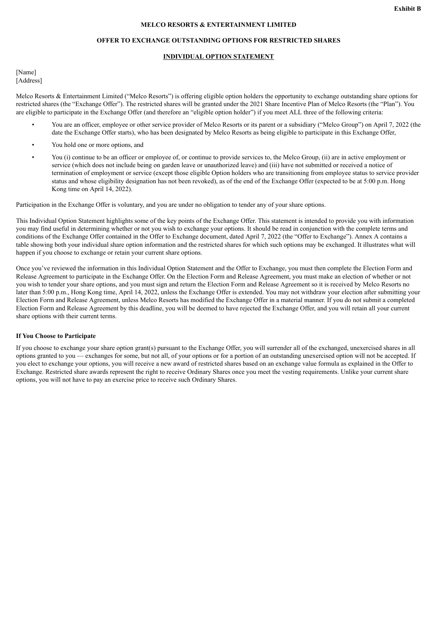#### **MELCO RESORTS & ENTERTAINMENT LIMITED**

#### **OFFER TO EXCHANGE OUTSTANDING OPTIONS FOR RESTRICTED SHARES**

#### **INDIVIDUAL OPTION STATEMENT**

[Name] [Address]

Melco Resorts & Entertainment Limited ("Melco Resorts") is offering eligible option holders the opportunity to exchange outstanding share options for restricted shares (the "Exchange Offer"). The restricted shares will be granted under the 2021 Share Incentive Plan of Melco Resorts (the "Plan"). You are eligible to participate in the Exchange Offer (and therefore an "eligible option holder") if you meet ALL three of the following criteria:

- You are an officer, employee or other service provider of Melco Resorts or its parent or a subsidiary ("Melco Group") on April 7, 2022 (the date the Exchange Offer starts), who has been designated by Melco Resorts as being eligible to participate in this Exchange Offer,
- You hold one or more options, and
- You (i) continue to be an officer or employee of, or continue to provide services to, the Melco Group, (ii) are in active employment or service (which does not include being on garden leave or unauthorized leave) and (iii) have not submitted or received a notice of termination of employment or service (except those eligible Option holders who are transitioning from employee status to service provider status and whose eligibility designation has not been revoked), as of the end of the Exchange Offer (expected to be at 5:00 p.m. Hong Kong time on April 14, 2022).

Participation in the Exchange Offer is voluntary, and you are under no obligation to tender any of your share options.

This Individual Option Statement highlights some of the key points of the Exchange Offer. This statement is intended to provide you with information you may find useful in determining whether or not you wish to exchange your options. It should be read in conjunction with the complete terms and conditions of the Exchange Offer contained in the Offer to Exchange document, dated April 7, 2022 (the "Offer to Exchange"). Annex A contains a table showing both your individual share option information and the restricted shares for which such options may be exchanged. It illustrates what will happen if you choose to exchange or retain your current share options.

Once you've reviewed the information in this Individual Option Statement and the Offer to Exchange, you must then complete the Election Form and Release Agreement to participate in the Exchange Offer. On the Election Form and Release Agreement, you must make an election of whether or not you wish to tender your share options, and you must sign and return the Election Form and Release Agreement so it is received by Melco Resorts no later than 5:00 p.m., Hong Kong time, April 14, 2022, unless the Exchange Offer is extended. You may not withdraw your election after submitting your Election Form and Release Agreement, unless Melco Resorts has modified the Exchange Offer in a material manner. If you do not submit a completed Election Form and Release Agreement by this deadline, you will be deemed to have rejected the Exchange Offer, and you will retain all your current share options with their current terms.

#### **If You Choose to Participate**

If you choose to exchange your share option grant(s) pursuant to the Exchange Offer, you will surrender all of the exchanged, unexercised shares in all options granted to you — exchanges for some, but not all, of your options or for a portion of an outstanding unexercised option will not be accepted. If you elect to exchange your options, you will receive a new award of restricted shares based on an exchange value formula as explained in the Offer to Exchange. Restricted share awards represent the right to receive Ordinary Shares once you meet the vesting requirements. Unlike your current share options, you will not have to pay an exercise price to receive such Ordinary Shares.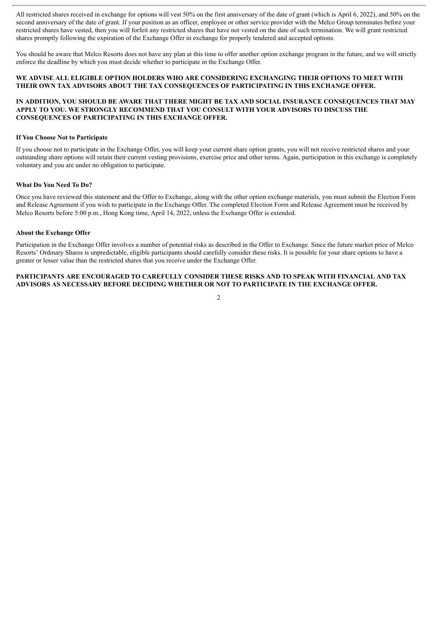All restricted shares received in exchange for options will vest 50% on the first anniversary of the date of grant (which is April 6, 2022), and 50% on the second anniversary of the date of grant. If your position as an officer, employee or other service provider with the Melco Group terminates before your restricted shares have vested, then you will forfeit any restricted shares that have not vested on the date of such termination. We will grant restricted shares promptly following the expiration of the Exchange Offer in exchange for properly tendered and accepted options.

You should be aware that Melco Resorts does not have any plan at this time to offer another option exchange program in the future, and we will strictly enforce the deadline by which you must decide whether to participate in the Exchange Offer.

#### **WE ADVISE ALL ELIGIBLE OPTION HOLDERS WHO ARE CONSIDERING EXCHANGING THEIR OPTIONS TO MEET WITH THEIR OWN TAX ADVISORS ABOUT THE TAX CONSEQUENCES OF PARTICIPATING IN THIS EXCHANGE OFFER.**

#### **IN ADDITION, YOU SHOULD BE AWARE THAT THERE MIGHT BE TAX AND SOCIAL INSURANCE CONSEQUENCES THAT MAY APPLY TO YOU. WE STRONGLY RECOMMEND THAT YOU CONSULT WITH YOUR ADVISORS TO DISCUSS THE CONSEQUENCES OF PARTICIPATING IN THIS EXCHANGE OFFER.**

#### **If You Choose Not to Participate**

If you choose not to participate in the Exchange Offer, you will keep your current share option grants, you will not receive restricted shares and your outstanding share options will retain their current vesting provisions, exercise price and other terms. Again, participation in this exchange is completely voluntary and you are under no obligation to participate.

#### **What Do You Need To Do?**

Once you have reviewed this statement and the Offer to Exchange, along with the other option exchange materials, you must submit the Election Form and Release Agreement if you wish to participate in the Exchange Offer. The completed Election Form and Release Agreement must be received by Melco Resorts before 5:00 p.m., Hong Kong time, April 14, 2022, unless the Exchange Offer is extended.

#### **About the Exchange Offer**

Participation in the Exchange Offer involves a number of potential risks as described in the Offer to Exchange. Since the future market price of Melco Resorts' Ordinary Shares is unpredictable, eligible participants should carefully consider these risks. It is possible for your share options to have a greater or lesser value than the restricted shares that you receive under the Exchange Offer.

#### **PARTICIPANTS ARE ENCOURAGED TO CAREFULLY CONSIDER THESE RISKS AND TO SPEAK WITH FINANCIAL AND TAX ADVISORS AS NECESSARY BEFORE DECIDING WHETHER OR NOT TO PARTICIPATE IN THE EXCHANGE OFFER.**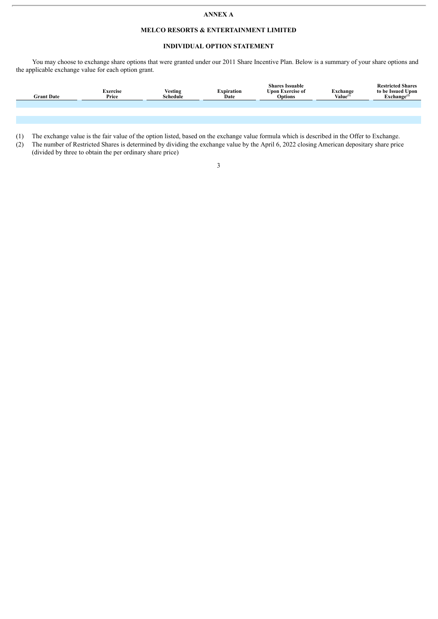#### **ANNEX A**

#### **MELCO RESORTS & ENTERTAINMENT LIMITED**

#### **INDIVIDUAL OPTION STATEMENT**

You may choose to exchange share options that were granted under our 2011 Share Incentive Plan. Below is a summary of your share options and the applicable exchange value for each option grant.

| <b>Grant Date</b> | Exercise<br>Price | <b>Vesting</b><br>Schedule | Expiration<br>Date | <b>Shares Issuable</b><br><b>Upon Exercise of</b><br><b>Options</b> | Exchange<br>Value <sup>(1)</sup> | <b>Restricted Shares</b><br>to be Issued Upon<br>$\mathbf{Exchange}^{(2)}$ |
|-------------------|-------------------|----------------------------|--------------------|---------------------------------------------------------------------|----------------------------------|----------------------------------------------------------------------------|
|                   |                   |                            |                    |                                                                     |                                  |                                                                            |
|                   |                   |                            |                    |                                                                     |                                  |                                                                            |

(1) The exchange value is the fair value of the option listed, based on the exchange value formula which is described in the Offer to Exchange.

(2) The number of Restricted Shares is determined by dividing the exchange value by the April 6, 2022 closing American depositary share price (divided by three to obtain the per ordinary share price)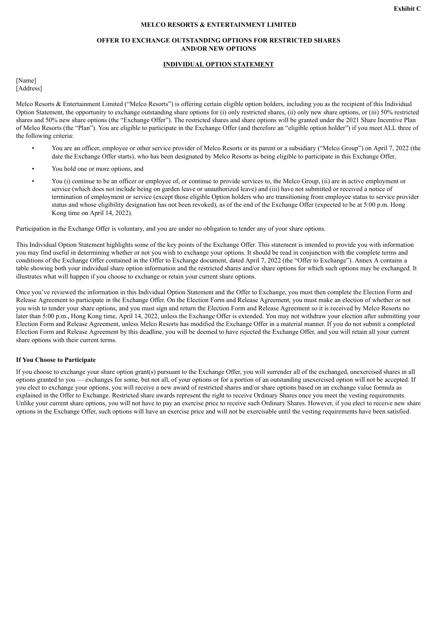#### **MELCO RESORTS & ENTERTAINMENT LIMITED**

#### **OFFER TO EXCHANGE OUTSTANDING OPTIONS FOR RESTRICTED SHARES AND/OR NEW OPTIONS**

#### **INDIVIDUAL OPTION STATEMENT**

[Name] [Address]

Melco Resorts & Entertainment Limited ("Melco Resorts") is offering certain eligible option holders, including you as the recipient of this Individual Option Statement, the opportunity to exchange outstanding share options for (i) only restricted shares, (ii) only new share options, or (iii) 50% restricted shares and 50% new share options (the "Exchange Offer"). The restricted shares and share options will be granted under the 2021 Share Incentive Plan of Melco Resorts (the "Plan"). You are eligible to participate in the Exchange Offer (and therefore an "eligible option holder") if you meet ALL three of the following criteria:

- You are an officer, employee or other service provider of Melco Resorts or its parent or a subsidiary ("Melco Group") on April 7, 2022 (the date the Exchange Offer starts), who has been designated by Melco Resorts as being eligible to participate in this Exchange Offer,
- You hold one or more options, and
- You (i) continue to be an officer or employee of, or continue to provide services to, the Melco Group, (ii) are in active employment or service (which does not include being on garden leave or unauthorized leave) and (iii) have not submitted or received a notice of termination of employment or service (except those eligible Option holders who are transitioning from employee status to service provider status and whose eligibility designation has not been revoked), as of the end of the Exchange Offer (expected to be at 5:00 p.m. Hong Kong time on April 14, 2022).

Participation in the Exchange Offer is voluntary, and you are under no obligation to tender any of your share options.

This Individual Option Statement highlights some of the key points of the Exchange Offer. This statement is intended to provide you with information you may find useful in determining whether or not you wish to exchange your options. It should be read in conjunction with the complete terms and conditions of the Exchange Offer contained in the Offer to Exchange document, dated April 7, 2022 (the "Offer to Exchange"). Annex A contains a table showing both your individual share option information and the restricted shares and/or share options for which such options may be exchanged. It illustrates what will happen if you choose to exchange or retain your current share options.

Once you've reviewed the information in this Individual Option Statement and the Offer to Exchange, you must then complete the Election Form and Release Agreement to participate in the Exchange Offer. On the Election Form and Release Agreement, you must make an election of whether or not you wish to tender your share options, and you must sign and return the Election Form and Release Agreement so it is received by Melco Resorts no later than 5:00 p.m., Hong Kong time, April 14, 2022, unless the Exchange Offer is extended. You may not withdraw your election after submitting your Election Form and Release Agreement, unless Melco Resorts has modified the Exchange Offer in a material manner. If you do not submit a completed Election Form and Release Agreement by this deadline, you will be deemed to have rejected the Exchange Offer, and you will retain all your current share options with their current terms.

#### **If You Choose to Participate**

If you choose to exchange your share option grant(s) pursuant to the Exchange Offer, you will surrender all of the exchanged, unexercised shares in all options granted to you — exchanges for some, but not all, of your options or for a portion of an outstanding unexercised option will not be accepted. If you elect to exchange your options, you will receive a new award of restricted shares and/or share options based on an exchange value formula as explained in the Offer to Exchange. Restricted share awards represent the right to receive Ordinary Shares once you meet the vesting requirements. Unlike your current share options, you will not have to pay an exercise price to receive such Ordinary Shares. However, if you elect to receive new share options in the Exchange Offer, such options will have an exercise price and will not be exercisable until the vesting requirements have been satisfied.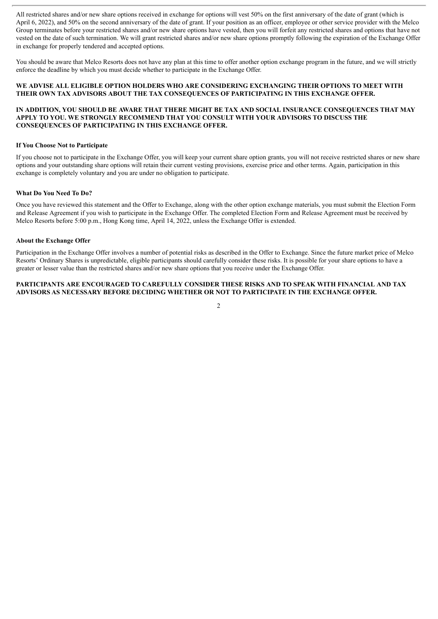All restricted shares and/or new share options received in exchange for options will vest 50% on the first anniversary of the date of grant (which is April 6, 2022), and 50% on the second anniversary of the date of grant. If your position as an officer, employee or other service provider with the Melco Group terminates before your restricted shares and/or new share options have vested, then you will forfeit any restricted shares and options that have not vested on the date of such termination. We will grant restricted shares and/or new share options promptly following the expiration of the Exchange Offer in exchange for properly tendered and accepted options.

You should be aware that Melco Resorts does not have any plan at this time to offer another option exchange program in the future, and we will strictly enforce the deadline by which you must decide whether to participate in the Exchange Offer.

#### **WE ADVISE ALL ELIGIBLE OPTION HOLDERS WHO ARE CONSIDERING EXCHANGING THEIR OPTIONS TO MEET WITH THEIR OWN TAX ADVISORS ABOUT THE TAX CONSEQUENCES OF PARTICIPATING IN THIS EXCHANGE OFFER.**

#### **IN ADDITION, YOU SHOULD BE AWARE THAT THERE MIGHT BE TAX AND SOCIAL INSURANCE CONSEQUENCES THAT MAY APPLY TO YOU. WE STRONGLY RECOMMEND THAT YOU CONSULT WITH YOUR ADVISORS TO DISCUSS THE CONSEQUENCES OF PARTICIPATING IN THIS EXCHANGE OFFER.**

#### **If You Choose Not to Participate**

If you choose not to participate in the Exchange Offer, you will keep your current share option grants, you will not receive restricted shares or new share options and your outstanding share options will retain their current vesting provisions, exercise price and other terms. Again, participation in this exchange is completely voluntary and you are under no obligation to participate.

#### **What Do You Need To Do?**

Once you have reviewed this statement and the Offer to Exchange, along with the other option exchange materials, you must submit the Election Form and Release Agreement if you wish to participate in the Exchange Offer. The completed Election Form and Release Agreement must be received by Melco Resorts before 5:00 p.m., Hong Kong time, April 14, 2022, unless the Exchange Offer is extended.

#### **About the Exchange Offer**

Participation in the Exchange Offer involves a number of potential risks as described in the Offer to Exchange. Since the future market price of Melco Resorts' Ordinary Shares is unpredictable, eligible participants should carefully consider these risks. It is possible for your share options to have a greater or lesser value than the restricted shares and/or new share options that you receive under the Exchange Offer.

#### **PARTICIPANTS ARE ENCOURAGED TO CAREFULLY CONSIDER THESE RISKS AND TO SPEAK WITH FINANCIAL AND TAX ADVISORS AS NECESSARY BEFORE DECIDING WHETHER OR NOT TO PARTICIPATE IN THE EXCHANGE OFFER.**

 $\overline{2}$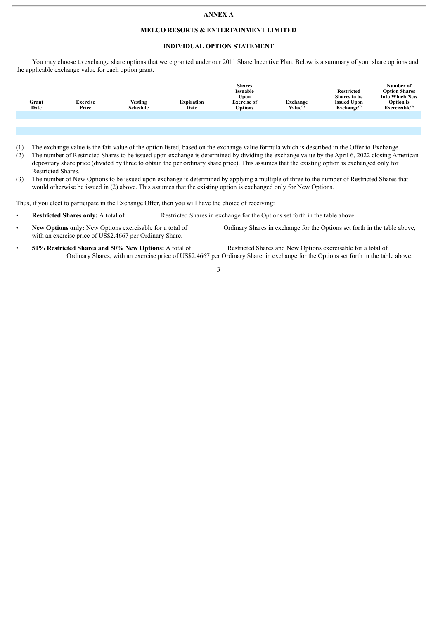#### **ANNEX A**

#### **MELCO RESORTS & ENTERTAINMENT LIMITED**

#### **INDIVIDUAL OPTION STATEMENT**

You may choose to exchange share options that were granted under our 2011 Share Incentive Plan. Below is a summary of your share options and the applicable exchange value for each option grant.

|               |                          |                            |                           | <b>Shares</b><br>Issuable<br>∪pon    |                           | <b>Restricted</b><br>Shares to be               | Number of<br><b>Option Shares</b><br><b>Into Which New</b> |
|---------------|--------------------------|----------------------------|---------------------------|--------------------------------------|---------------------------|-------------------------------------------------|------------------------------------------------------------|
| Grant<br>Date | <b>Exercise</b><br>Price | <b>Vesting</b><br>Schedule | <b>Expiration</b><br>Date | <b>Exercise of</b><br><b>Options</b> | Exchange<br>$Value^{(1)}$ | <b>Issued Upon</b><br>$\mathbf{Exchange}^{(2)}$ | <b>Option</b> is<br>Exerciseable <sup>(3)</sup>            |
|               |                          |                            |                           |                                      |                           |                                                 |                                                            |

- (1) The exchange value is the fair value of the option listed, based on the exchange value formula which is described in the Offer to Exchange.
- (2) The number of Restricted Shares to be issued upon exchange is determined by dividing the exchange value by the April 6, 2022 closing American depositary share price (divided by three to obtain the per ordinary share price). This assumes that the existing option is exchanged only for Restricted Shares.
- (3) The number of New Options to be issued upon exchange is determined by applying a multiple of three to the number of Restricted Shares that would otherwise be issued in (2) above. This assumes that the existing option is exchanged only for New Options.

Thus, if you elect to participate in the Exchange Offer, then you will have the choice of receiving:

- **Restricted Shares only:** A total of Restricted Shares in exchange for the Options set forth in the table above.
- **New Options only:** New Options exercisable for a total of Ordinary Shares in exchange for the Options set forth in the table above, with an exercise price of US\$2.4667 per Ordinary Share.
- **50% Restricted Shares and 50% New Options:** A total of Restricted Shares and New Options exercisable for a total of Ordinary Shares, with an exercise price of US\$2.4667 per Ordinary Share, in exchange for the Options set forth in the table above.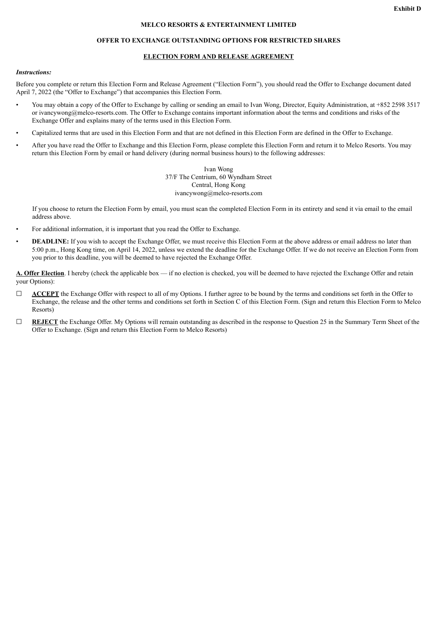#### **MELCO RESORTS & ENTERTAINMENT LIMITED**

#### **OFFER TO EXCHANGE OUTSTANDING OPTIONS FOR RESTRICTED SHARES**

#### **ELECTION FORM AND RELEASE AGREEMENT**

#### *Instructions:*

Before you complete or return this Election Form and Release Agreement ("Election Form"), you should read the Offer to Exchange document dated April 7, 2022 (the "Offer to Exchange") that accompanies this Election Form.

- You may obtain a copy of the Offer to Exchange by calling or sending an email to Ivan Wong, Director, Equity Administration, at +852 2598 3517 or ivancywong@melco-resorts.com. The Offer to Exchange contains important information about the terms and conditions and risks of the Exchange Offer and explains many of the terms used in this Election Form.
- Capitalized terms that are used in this Election Form and that are not defined in this Election Form are defined in the Offer to Exchange.
- After you have read the Offer to Exchange and this Election Form, please complete this Election Form and return it to Melco Resorts. You may return this Election Form by email or hand delivery (during normal business hours) to the following addresses:

Ivan Wong 37/F The Centrium, 60 Wyndham Street Central, Hong Kong ivancywong@melco-resorts.com

If you choose to return the Election Form by email, you must scan the completed Election Form in its entirety and send it via email to the email address above.

- For additional information, it is important that you read the Offer to Exchange.
- **DEADLINE:** If you wish to accept the Exchange Offer, we must receive this Election Form at the above address or email address no later than 5:00 p.m., Hong Kong time, on April 14, 2022, unless we extend the deadline for the Exchange Offer. If we do not receive an Election Form from you prior to this deadline, you will be deemed to have rejected the Exchange Offer.

**A. Offer Election**. I hereby (check the applicable box — if no election is checked, you will be deemed to have rejected the Exchange Offer and retain your Options):

- □ **ACCEPT** the Exchange Offer with respect to all of my Options. I further agree to be bound by the terms and conditions set forth in the Offer to Exchange, the release and the other terms and conditions set forth in Section C of this Election Form. (Sign and return this Election Form to Melco Resorts)
- ☐ **REJECT** the Exchange Offer. My Options will remain outstanding as described in the response to Question 25 in the Summary Term Sheet of the Offer to Exchange. (Sign and return this Election Form to Melco Resorts)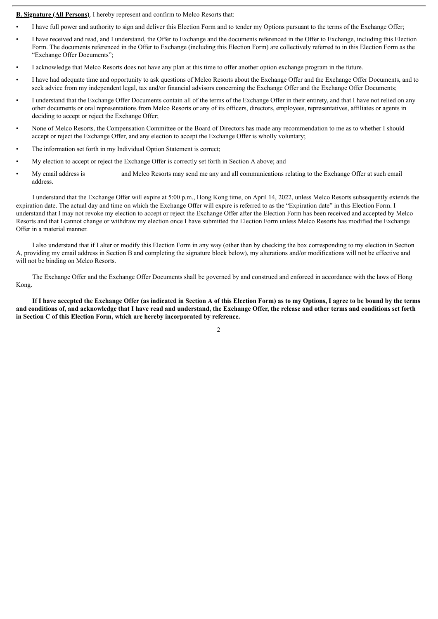**B. Signature (All Persons)**. I hereby represent and confirm to Melco Resorts that:

- I have full power and authority to sign and deliver this Election Form and to tender my Options pursuant to the terms of the Exchange Offer;
- I have received and read, and I understand, the Offer to Exchange and the documents referenced in the Offer to Exchange, including this Election Form. The documents referenced in the Offer to Exchange (including this Election Form) are collectively referred to in this Election Form as the "Exchange Offer Documents";
- I acknowledge that Melco Resorts does not have any plan at this time to offer another option exchange program in the future.
- I have had adequate time and opportunity to ask questions of Melco Resorts about the Exchange Offer and the Exchange Offer Documents, and to seek advice from my independent legal, tax and/or financial advisors concerning the Exchange Offer and the Exchange Offer Documents;
- I understand that the Exchange Offer Documents contain all of the terms of the Exchange Offer in their entirety, and that I have not relied on any other documents or oral representations from Melco Resorts or any of its officers, directors, employees, representatives, affiliates or agents in deciding to accept or reject the Exchange Offer;
- None of Melco Resorts, the Compensation Committee or the Board of Directors has made any recommendation to me as to whether I should accept or reject the Exchange Offer, and any election to accept the Exchange Offer is wholly voluntary;
- The information set forth in my Individual Option Statement is correct;
- My election to accept or reject the Exchange Offer is correctly set forth in Section A above; and
- My email address is and Melco Resorts may send me any and all communications relating to the Exchange Offer at such email address.

I understand that the Exchange Offer will expire at 5:00 p.m., Hong Kong time, on April 14, 2022, unless Melco Resorts subsequently extends the expiration date. The actual day and time on which the Exchange Offer will expire is referred to as the "Expiration date" in this Election Form. I understand that I may not revoke my election to accept or reject the Exchange Offer after the Election Form has been received and accepted by Melco Resorts and that I cannot change or withdraw my election once I have submitted the Election Form unless Melco Resorts has modified the Exchange Offer in a material manner.

I also understand that if I alter or modify this Election Form in any way (other than by checking the box corresponding to my election in Section A, providing my email address in Section B and completing the signature block below), my alterations and/or modifications will not be effective and will not be binding on Melco Resorts.

The Exchange Offer and the Exchange Offer Documents shall be governed by and construed and enforced in accordance with the laws of Hong Kong.

If I have accepted the Exchange Offer (as indicated in Section A of this Election Form) as to my Options, I agree to be bound by the terms and conditions of, and acknowledge that I have read and understand, the Exchange Offer, the release and other terms and conditions set forth **in Section C of this Election Form, which are hereby incorporated by reference.**

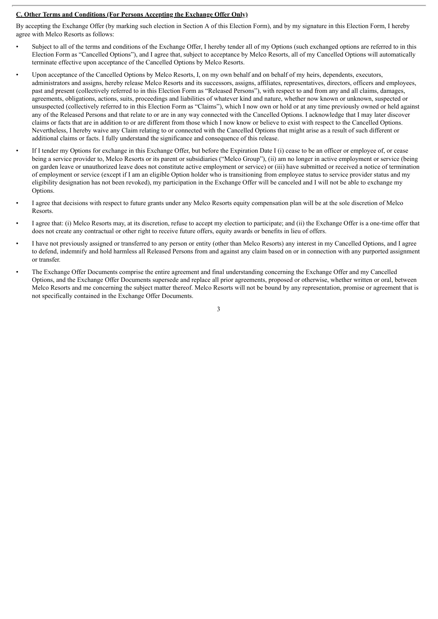#### **C. Other Terms and Conditions (For Persons Accepting the Exchange Offer Only)**

By accepting the Exchange Offer (by marking such election in Section A of this Election Form), and by my signature in this Election Form, I hereby agree with Melco Resorts as follows:

- Subject to all of the terms and conditions of the Exchange Offer, I hereby tender all of my Options (such exchanged options are referred to in this Election Form as "Cancelled Options"), and I agree that, subject to acceptance by Melco Resorts, all of my Cancelled Options will automatically terminate effective upon acceptance of the Cancelled Options by Melco Resorts.
- Upon acceptance of the Cancelled Options by Melco Resorts, I, on my own behalf and on behalf of my heirs, dependents, executors, administrators and assigns, hereby release Melco Resorts and its successors, assigns, affiliates, representatives, directors, officers and employees, past and present (collectively referred to in this Election Form as "Released Persons"), with respect to and from any and all claims, damages, agreements, obligations, actions, suits, proceedings and liabilities of whatever kind and nature, whether now known or unknown, suspected or unsuspected (collectively referred to in this Election Form as "Claims"), which I now own or hold or at any time previously owned or held against any of the Released Persons and that relate to or are in any way connected with the Cancelled Options. I acknowledge that I may later discover claims or facts that are in addition to or are different from those which I now know or believe to exist with respect to the Cancelled Options. Nevertheless, I hereby waive any Claim relating to or connected with the Cancelled Options that might arise as a result of such different or additional claims or facts. I fully understand the significance and consequence of this release.
- If I tender my Options for exchange in this Exchange Offer, but before the Expiration Date I (i) cease to be an officer or employee of, or cease being a service provider to, Melco Resorts or its parent or subsidiaries ("Melco Group"), (ii) am no longer in active employment or service (being on garden leave or unauthorized leave does not constitute active employment or service) or (iii) have submitted or received a notice of termination of employment or service (except if I am an eligible Option holder who is transitioning from employee status to service provider status and my eligibility designation has not been revoked), my participation in the Exchange Offer will be canceled and I will not be able to exchange my Options.
- I agree that decisions with respect to future grants under any Melco Resorts equity compensation plan will be at the sole discretion of Melco Resorts.
- I agree that: (i) Melco Resorts may, at its discretion, refuse to accept my election to participate; and (ii) the Exchange Offer is a one-time offer that does not create any contractual or other right to receive future offers, equity awards or benefits in lieu of offers.
- I have not previously assigned or transferred to any person or entity (other than Melco Resorts) any interest in my Cancelled Options, and I agree to defend, indemnify and hold harmless all Released Persons from and against any claim based on or in connection with any purported assignment or transfer.
- The Exchange Offer Documents comprise the entire agreement and final understanding concerning the Exchange Offer and my Cancelled Options, and the Exchange Offer Documents supersede and replace all prior agreements, proposed or otherwise, whether written or oral, between Melco Resorts and me concerning the subject matter thereof. Melco Resorts will not be bound by any representation, promise or agreement that is not specifically contained in the Exchange Offer Documents.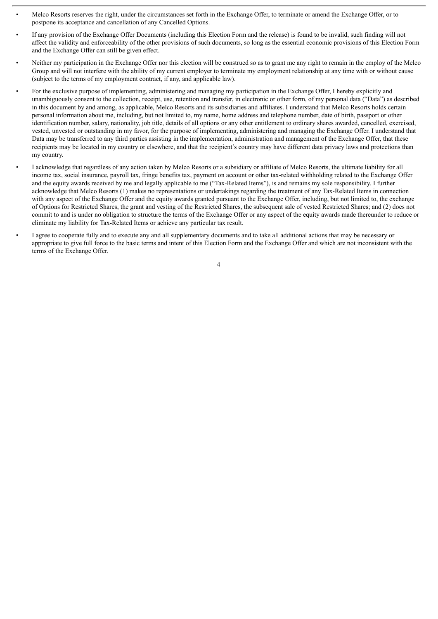- Melco Resorts reserves the right, under the circumstances set forth in the Exchange Offer, to terminate or amend the Exchange Offer, or to postpone its acceptance and cancellation of any Cancelled Options.
- If any provision of the Exchange Offer Documents (including this Election Form and the release) is found to be invalid, such finding will not affect the validity and enforceability of the other provisions of such documents, so long as the essential economic provisions of this Election Form and the Exchange Offer can still be given effect.
- Neither my participation in the Exchange Offer nor this election will be construed so as to grant me any right to remain in the employ of the Melco Group and will not interfere with the ability of my current employer to terminate my employment relationship at any time with or without cause (subject to the terms of my employment contract, if any, and applicable law).
- For the exclusive purpose of implementing, administering and managing my participation in the Exchange Offer, I hereby explicitly and unambiguously consent to the collection, receipt, use, retention and transfer, in electronic or other form, of my personal data ("Data") as described in this document by and among, as applicable, Melco Resorts and its subsidiaries and affiliates. I understand that Melco Resorts holds certain personal information about me, including, but not limited to, my name, home address and telephone number, date of birth, passport or other identification number, salary, nationality, job title, details of all options or any other entitlement to ordinary shares awarded, cancelled, exercised, vested, unvested or outstanding in my favor, for the purpose of implementing, administering and managing the Exchange Offer. I understand that Data may be transferred to any third parties assisting in the implementation, administration and management of the Exchange Offer, that these recipients may be located in my country or elsewhere, and that the recipient's country may have different data privacy laws and protections than my country.
- I acknowledge that regardless of any action taken by Melco Resorts or a subsidiary or affiliate of Melco Resorts, the ultimate liability for all income tax, social insurance, payroll tax, fringe benefits tax, payment on account or other tax-related withholding related to the Exchange Offer and the equity awards received by me and legally applicable to me ("Tax-Related Items"), is and remains my sole responsibility. I further acknowledge that Melco Resorts (1) makes no representations or undertakings regarding the treatment of any Tax-Related Items in connection with any aspect of the Exchange Offer and the equity awards granted pursuant to the Exchange Offer, including, but not limited to, the exchange of Options for Restricted Shares, the grant and vesting of the Restricted Shares, the subsequent sale of vested Restricted Shares; and (2) does not commit to and is under no obligation to structure the terms of the Exchange Offer or any aspect of the equity awards made thereunder to reduce or eliminate my liability for Tax-Related Items or achieve any particular tax result.
- I agree to cooperate fully and to execute any and all supplementary documents and to take all additional actions that may be necessary or appropriate to give full force to the basic terms and intent of this Election Form and the Exchange Offer and which are not inconsistent with the terms of the Exchange Offer.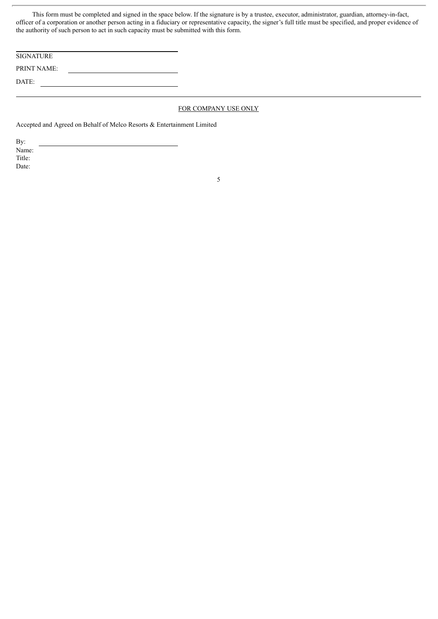This form must be completed and signed in the space below. If the signature is by a trustee, executor, administrator, guardian, attorney-in-fact, officer of a corporation or another person acting in a fiduciary or representative capacity, the signer's full title must be specified, and proper evidence of the authority of such person to act in such capacity must be submitted with this form.

| <b>SIGNATURE</b>   |  |
|--------------------|--|
| <b>PRINT NAME:</b> |  |
| DATE:              |  |

#### FOR COMPANY USE ONLY

Accepted and Agreed on Behalf of Melco Resorts & Entertainment Limited

By: Name: Title: Date: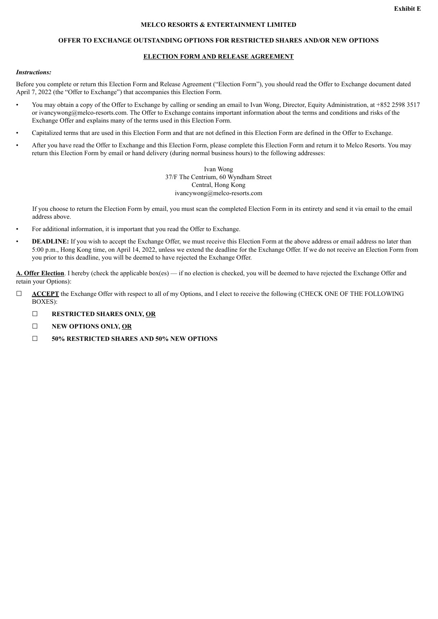#### **MELCO RESORTS & ENTERTAINMENT LIMITED**

#### **OFFER TO EXCHANGE OUTSTANDING OPTIONS FOR RESTRICTED SHARES AND/OR NEW OPTIONS**

#### **ELECTION FORM AND RELEASE AGREEMENT**

#### *Instructions:*

Before you complete or return this Election Form and Release Agreement ("Election Form"), you should read the Offer to Exchange document dated April 7, 2022 (the "Offer to Exchange") that accompanies this Election Form.

- You may obtain a copy of the Offer to Exchange by calling or sending an email to Ivan Wong, Director, Equity Administration, at +852 2598 3517 or ivancywong@melco-resorts.com. The Offer to Exchange contains important information about the terms and conditions and risks of the Exchange Offer and explains many of the terms used in this Election Form.
- Capitalized terms that are used in this Election Form and that are not defined in this Election Form are defined in the Offer to Exchange.
- After you have read the Offer to Exchange and this Election Form, please complete this Election Form and return it to Melco Resorts. You may return this Election Form by email or hand delivery (during normal business hours) to the following addresses:

Ivan Wong 37/F The Centrium, 60 Wyndham Street Central, Hong Kong ivancywong@melco-resorts.com

If you choose to return the Election Form by email, you must scan the completed Election Form in its entirety and send it via email to the email address above.

- For additional information, it is important that you read the Offer to Exchange.
- **DEADLINE:** If you wish to accept the Exchange Offer, we must receive this Election Form at the above address or email address no later than 5:00 p.m., Hong Kong time, on April 14, 2022, unless we extend the deadline for the Exchange Offer. If we do not receive an Election Form from you prior to this deadline, you will be deemed to have rejected the Exchange Offer.

**A. Offer Election**. I hereby (check the applicable box(es) — if no election is checked, you will be deemed to have rejected the Exchange Offer and retain your Options):

- ☐ **ACCEPT** the Exchange Offer with respect to all of my Options, and I elect to receive the following (CHECK ONE OF THE FOLLOWING BOXES):
	- ☐ **RESTRICTED SHARES ONLY, OR**
	- ☐ **NEW OPTIONS ONLY, OR**
	- ☐ **50% RESTRICTED SHARES AND 50% NEW OPTIONS**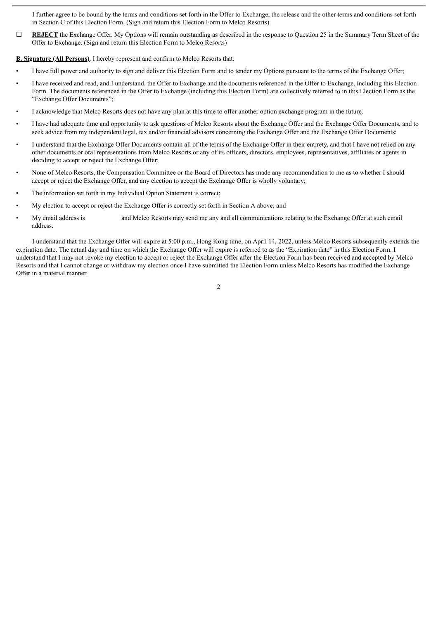I further agree to be bound by the terms and conditions set forth in the Offer to Exchange, the release and the other terms and conditions set forth in Section C of this Election Form. (Sign and return this Election Form to Melco Resorts)

**□ REJECT** the Exchange Offer. My Options will remain outstanding as described in the response to Question 25 in the Summary Term Sheet of the Offer to Exchange. (Sign and return this Election Form to Melco Resorts)

**B. Signature (All Persons)**. I hereby represent and confirm to Melco Resorts that:

- I have full power and authority to sign and deliver this Election Form and to tender my Options pursuant to the terms of the Exchange Offer;
- I have received and read, and I understand, the Offer to Exchange and the documents referenced in the Offer to Exchange, including this Election Form. The documents referenced in the Offer to Exchange (including this Election Form) are collectively referred to in this Election Form as the "Exchange Offer Documents";
- I acknowledge that Melco Resorts does not have any plan at this time to offer another option exchange program in the future.
- I have had adequate time and opportunity to ask questions of Melco Resorts about the Exchange Offer and the Exchange Offer Documents, and to seek advice from my independent legal, tax and/or financial advisors concerning the Exchange Offer and the Exchange Offer Documents;
- I understand that the Exchange Offer Documents contain all of the terms of the Exchange Offer in their entirety, and that I have not relied on any other documents or oral representations from Melco Resorts or any of its officers, directors, employees, representatives, affiliates or agents in deciding to accept or reject the Exchange Offer;
- None of Melco Resorts, the Compensation Committee or the Board of Directors has made any recommendation to me as to whether I should accept or reject the Exchange Offer, and any election to accept the Exchange Offer is wholly voluntary;
- The information set forth in my Individual Option Statement is correct;
- My election to accept or reject the Exchange Offer is correctly set forth in Section A above; and
- My email address is and Melco Resorts may send me any and all communications relating to the Exchange Offer at such email address.

I understand that the Exchange Offer will expire at 5:00 p.m., Hong Kong time, on April 14, 2022, unless Melco Resorts subsequently extends the expiration date. The actual day and time on which the Exchange Offer will expire is referred to as the "Expiration date" in this Election Form. I understand that I may not revoke my election to accept or reject the Exchange Offer after the Election Form has been received and accepted by Melco Resorts and that I cannot change or withdraw my election once I have submitted the Election Form unless Melco Resorts has modified the Exchange Offer in a material manner.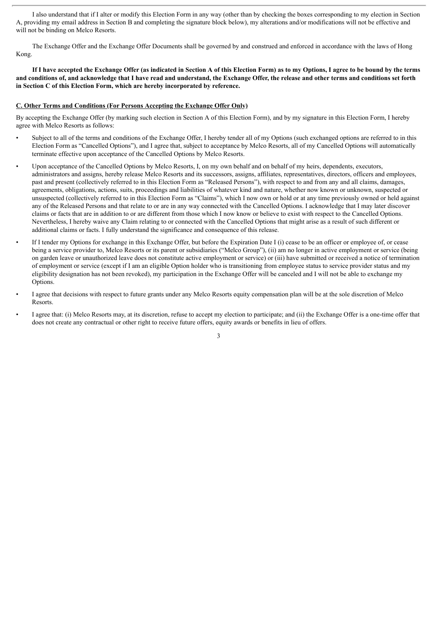I also understand that if I alter or modify this Election Form in any way (other than by checking the boxes corresponding to my election in Section A, providing my email address in Section B and completing the signature block below), my alterations and/or modifications will not be effective and will not be binding on Melco Resorts.

The Exchange Offer and the Exchange Offer Documents shall be governed by and construed and enforced in accordance with the laws of Hong Kong.

If I have accepted the Exchange Offer (as indicated in Section A of this Election Form) as to my Options, I agree to be bound by the terms and conditions of, and acknowledge that I have read and understand, the Exchange Offer, the release and other terms and conditions set forth **in Section C of this Election Form, which are hereby incorporated by reference.**

#### **C. Other Terms and Conditions (For Persons Accepting the Exchange Offer Only)**

By accepting the Exchange Offer (by marking such election in Section A of this Election Form), and by my signature in this Election Form, I hereby agree with Melco Resorts as follows:

- Subject to all of the terms and conditions of the Exchange Offer, I hereby tender all of my Options (such exchanged options are referred to in this Election Form as "Cancelled Options"), and I agree that, subject to acceptance by Melco Resorts, all of my Cancelled Options will automatically terminate effective upon acceptance of the Cancelled Options by Melco Resorts.
- Upon acceptance of the Cancelled Options by Melco Resorts, I, on my own behalf and on behalf of my heirs, dependents, executors, administrators and assigns, hereby release Melco Resorts and its successors, assigns, affiliates, representatives, directors, officers and employees, past and present (collectively referred to in this Election Form as "Released Persons"), with respect to and from any and all claims, damages, agreements, obligations, actions, suits, proceedings and liabilities of whatever kind and nature, whether now known or unknown, suspected or unsuspected (collectively referred to in this Election Form as "Claims"), which I now own or hold or at any time previously owned or held against any of the Released Persons and that relate to or are in any way connected with the Cancelled Options. I acknowledge that I may later discover claims or facts that are in addition to or are different from those which I now know or believe to exist with respect to the Cancelled Options. Nevertheless, I hereby waive any Claim relating to or connected with the Cancelled Options that might arise as a result of such different or additional claims or facts. I fully understand the significance and consequence of this release.
- If I tender my Options for exchange in this Exchange Offer, but before the Expiration Date I (i) cease to be an officer or employee of, or cease being a service provider to, Melco Resorts or its parent or subsidiaries ("Melco Group"), (ii) am no longer in active employment or service (being on garden leave or unauthorized leave does not constitute active employment or service) or (iii) have submitted or received a notice of termination of employment or service (except if I am an eligible Option holder who is transitioning from employee status to service provider status and my eligibility designation has not been revoked), my participation in the Exchange Offer will be canceled and I will not be able to exchange my Options.
- I agree that decisions with respect to future grants under any Melco Resorts equity compensation plan will be at the sole discretion of Melco Resorts.
- I agree that: (i) Melco Resorts may, at its discretion, refuse to accept my election to participate; and (ii) the Exchange Offer is a one-time offer that does not create any contractual or other right to receive future offers, equity awards or benefits in lieu of offers.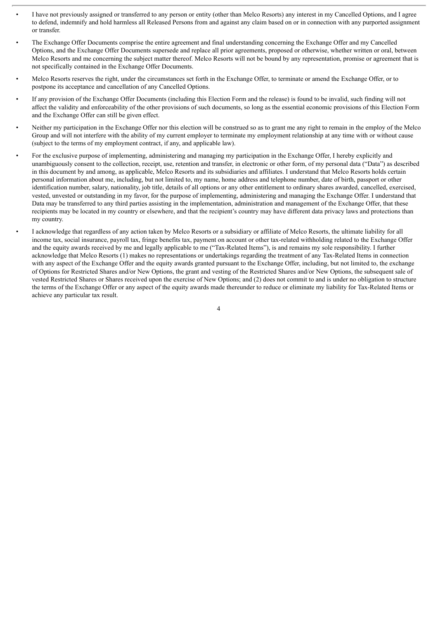- I have not previously assigned or transferred to any person or entity (other than Melco Resorts) any interest in my Cancelled Options, and I agree to defend, indemnify and hold harmless all Released Persons from and against any claim based on or in connection with any purported assignment or transfer.
- The Exchange Offer Documents comprise the entire agreement and final understanding concerning the Exchange Offer and my Cancelled Options, and the Exchange Offer Documents supersede and replace all prior agreements, proposed or otherwise, whether written or oral, between Melco Resorts and me concerning the subject matter thereof. Melco Resorts will not be bound by any representation, promise or agreement that is not specifically contained in the Exchange Offer Documents.
- Melco Resorts reserves the right, under the circumstances set forth in the Exchange Offer, to terminate or amend the Exchange Offer, or to postpone its acceptance and cancellation of any Cancelled Options.
- If any provision of the Exchange Offer Documents (including this Election Form and the release) is found to be invalid, such finding will not affect the validity and enforceability of the other provisions of such documents, so long as the essential economic provisions of this Election Form and the Exchange Offer can still be given effect.
- Neither my participation in the Exchange Offer nor this election will be construed so as to grant me any right to remain in the employ of the Melco Group and will not interfere with the ability of my current employer to terminate my employment relationship at any time with or without cause (subject to the terms of my employment contract, if any, and applicable law).
- For the exclusive purpose of implementing, administering and managing my participation in the Exchange Offer, I hereby explicitly and unambiguously consent to the collection, receipt, use, retention and transfer, in electronic or other form, of my personal data ("Data") as described in this document by and among, as applicable, Melco Resorts and its subsidiaries and affiliates. I understand that Melco Resorts holds certain personal information about me, including, but not limited to, my name, home address and telephone number, date of birth, passport or other identification number, salary, nationality, job title, details of all options or any other entitlement to ordinary shares awarded, cancelled, exercised, vested, unvested or outstanding in my favor, for the purpose of implementing, administering and managing the Exchange Offer. I understand that Data may be transferred to any third parties assisting in the implementation, administration and management of the Exchange Offer, that these recipients may be located in my country or elsewhere, and that the recipient's country may have different data privacy laws and protections than my country.
- I acknowledge that regardless of any action taken by Melco Resorts or a subsidiary or affiliate of Melco Resorts, the ultimate liability for all income tax, social insurance, payroll tax, fringe benefits tax, payment on account or other tax-related withholding related to the Exchange Offer and the equity awards received by me and legally applicable to me ("Tax-Related Items"), is and remains my sole responsibility. I further acknowledge that Melco Resorts (1) makes no representations or undertakings regarding the treatment of any Tax-Related Items in connection with any aspect of the Exchange Offer and the equity awards granted pursuant to the Exchange Offer, including, but not limited to, the exchange of Options for Restricted Shares and/or New Options, the grant and vesting of the Restricted Shares and/or New Options, the subsequent sale of vested Restricted Shares or Shares received upon the exercise of New Options; and (2) does not commit to and is under no obligation to structure the terms of the Exchange Offer or any aspect of the equity awards made thereunder to reduce or eliminate my liability for Tax-Related Items or achieve any particular tax result.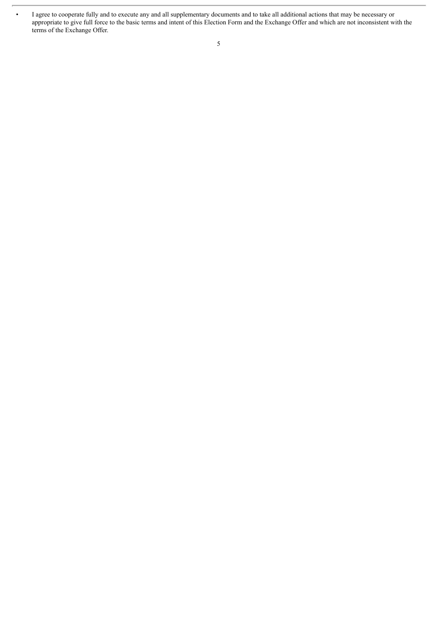• I agree to cooperate fully and to execute any and all supplementary documents and to take all additional actions that may be necessary or appropriate to give full force to the basic terms and intent of this Election Form and the Exchange Offer and which are not inconsistent with the terms of the Exchange Offer.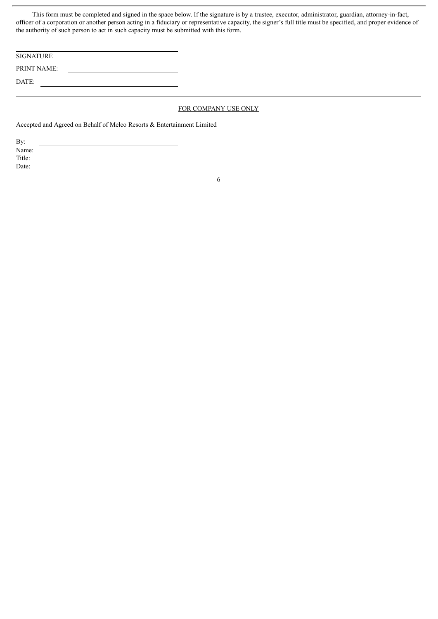This form must be completed and signed in the space below. If the signature is by a trustee, executor, administrator, guardian, attorney-in-fact, officer of a corporation or another person acting in a fiduciary or representative capacity, the signer's full title must be specified, and proper evidence of the authority of such person to act in such capacity must be submitted with this form.

| <b>SIGNATURE</b>   |  |
|--------------------|--|
| <b>PRINT NAME:</b> |  |
| DATE:              |  |

#### FOR COMPANY USE ONLY

Accepted and Agreed on Behalf of Melco Resorts & Entertainment Limited

By: Name: Title: Date: